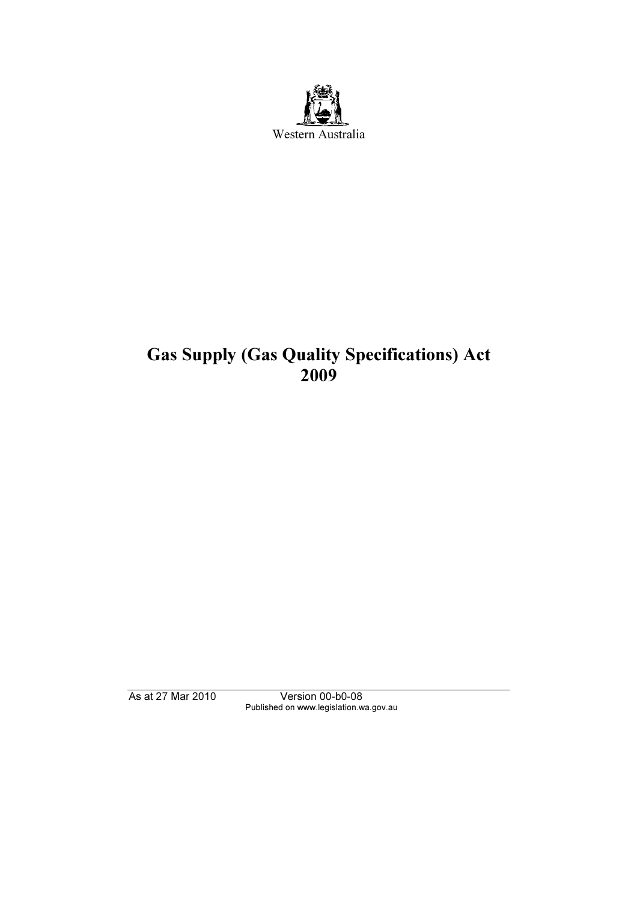

# Gas Supply (Gas Quality Specifications) Act 2009

As at 27 Mar 2010 Version 00-b0-08 Published on www.legislation.wa.gov.au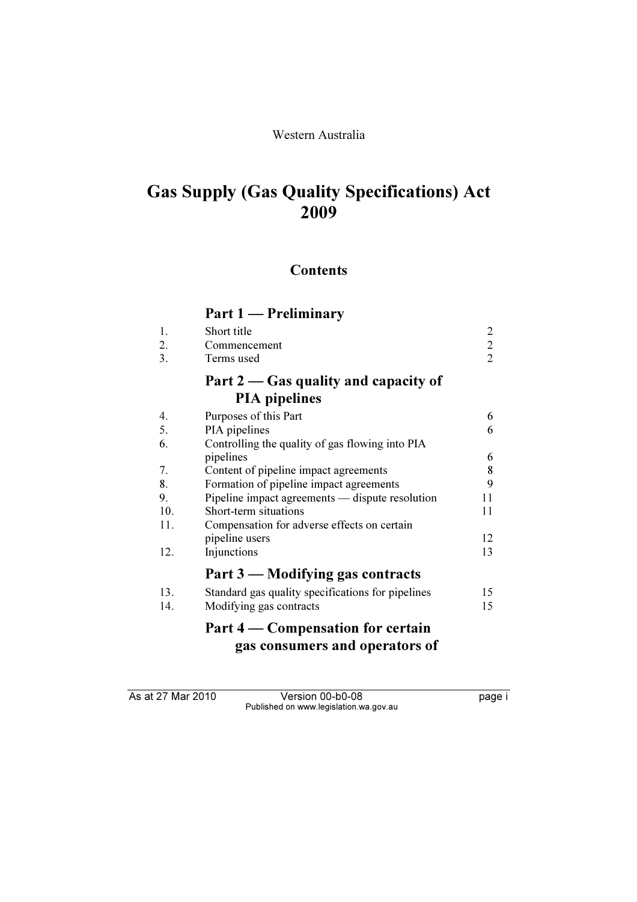### Western Australia

# Gas Supply (Gas Quality Specifications) Act 2009

# **Contents**

# Part 1 — Preliminary

|     | $r$ art 1 — Freihinnary                           |                |
|-----|---------------------------------------------------|----------------|
| 1.  | Short title                                       | 2              |
| 2.  | Commencement                                      | $\overline{2}$ |
| 3.  | Terms used                                        | 2              |
|     | Part $2 -$ Gas quality and capacity of            |                |
|     | <b>PIA</b> pipelines                              |                |
| 4.  | Purposes of this Part                             | 6              |
| 5.  | PIA pipelines                                     | 6              |
| 6.  | Controlling the quality of gas flowing into PIA   |                |
|     | pipelines                                         | 6              |
| 7.  | Content of pipeline impact agreements             | 8              |
| 8.  | Formation of pipeline impact agreements           | 9              |
| 9.  | Pipeline impact agreements — dispute resolution   | 11             |
| 10. | Short-term situations                             | 11             |
| 11. | Compensation for adverse effects on certain       |                |
|     | pipeline users                                    | 12             |
| 12. | Injunctions                                       | 13             |
|     | Part 3 — Modifying gas contracts                  |                |
| 13. | Standard gas quality specifications for pipelines | 15             |
| 14. | Modifying gas contracts                           | 15             |

# Part 4 — Compensation for certain gas consumers and operators of

As at 27 Mar 2010 Version 00-b0-08 page i Published on www.legislation.wa.gov.au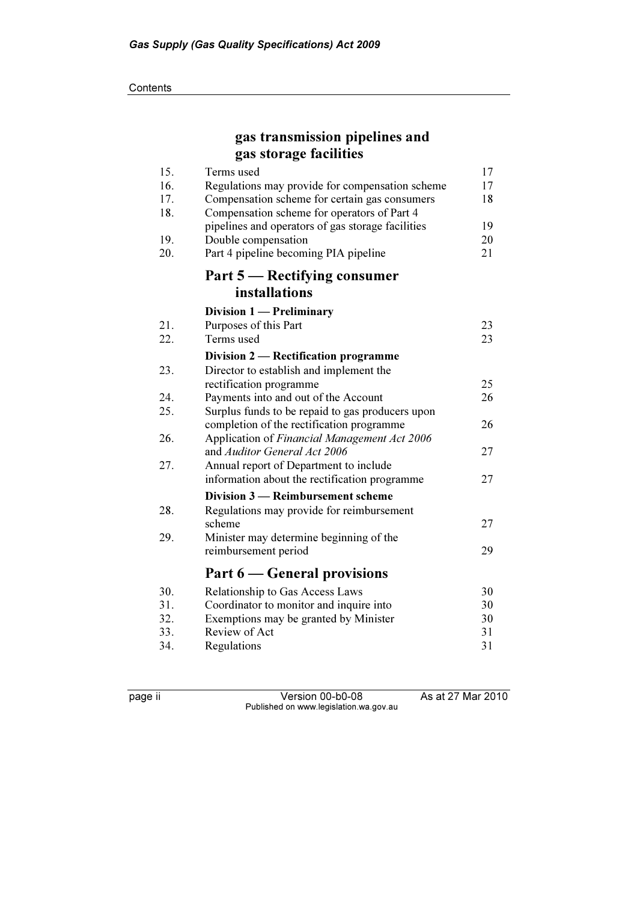#### **Contents**

# gas transmission pipelines and gas storage facilities

| 15. | Terms used                                        | 17 |
|-----|---------------------------------------------------|----|
| 16. | Regulations may provide for compensation scheme   | 17 |
| 17. | Compensation scheme for certain gas consumers     | 18 |
| 18. | Compensation scheme for operators of Part 4       |    |
|     | pipelines and operators of gas storage facilities | 19 |
| 19. | Double compensation                               | 20 |
| 20. | Part 4 pipeline becoming PIA pipeline             | 21 |
|     | Part 5 — Rectifying consumer                      |    |
|     | installations                                     |    |
|     | Division 1 — Preliminary                          |    |
| 21. | Purposes of this Part                             | 23 |
| 22. | Terms used                                        | 23 |
|     | Division 2 — Rectification programme              |    |
| 23. | Director to establish and implement the           |    |
|     | rectification programme                           | 25 |
| 24. | Payments into and out of the Account              | 26 |
| 25. | Surplus funds to be repaid to gas producers upon  |    |
|     | completion of the rectification programme         | 26 |
| 26. | Application of Financial Management Act 2006      |    |
|     | and Auditor General Act 2006                      | 27 |
| 27. | Annual report of Department to include            |    |
|     | information about the rectification programme     | 27 |
|     | Division 3 – Reimbursement scheme                 |    |
| 28. | Regulations may provide for reimbursement         |    |
|     | scheme                                            | 27 |
| 29. | Minister may determine beginning of the           |    |
|     | reimbursement period                              | 29 |
|     | Part 6 – General provisions                       |    |
| 30. | Relationship to Gas Access Laws                   | 30 |
| 31. | Coordinator to monitor and inquire into           | 30 |
| 32. | Exemptions may be granted by Minister             | 30 |
| 33. | Review of Act                                     | 31 |
| 34. | Regulations                                       | 31 |

page ii Version 00-b0-08 As at 27 Mar 2010 Published on www.legislation.wa.gov.au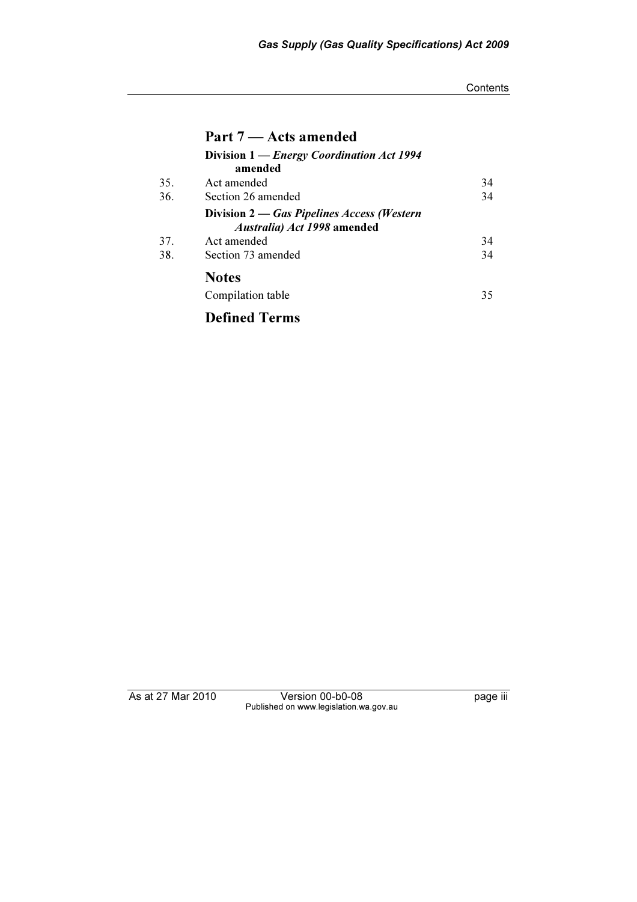#### **Contents**

|     | Part 7 – Acts amended                                                     |    |
|-----|---------------------------------------------------------------------------|----|
|     | Division 1 - Energy Coordination Act 1994<br>amended                      |    |
| 35. | Act amended                                                               | 34 |
| 36. | Section 26 amended                                                        | 34 |
|     | Division 2 — Gas Pipelines Access (Western<br>Australia) Act 1998 amended |    |
| 37. | Act amended                                                               | 34 |
| 38. | Section 73 amended<br><b>Notes</b>                                        | 34 |
|     |                                                                           |    |
|     | Compilation table                                                         | 35 |
|     | <b>Defined Terms</b>                                                      |    |

As at 27 Mar 2010 Version 00-b0-08 page iii Published on www.legislation.wa.gov.au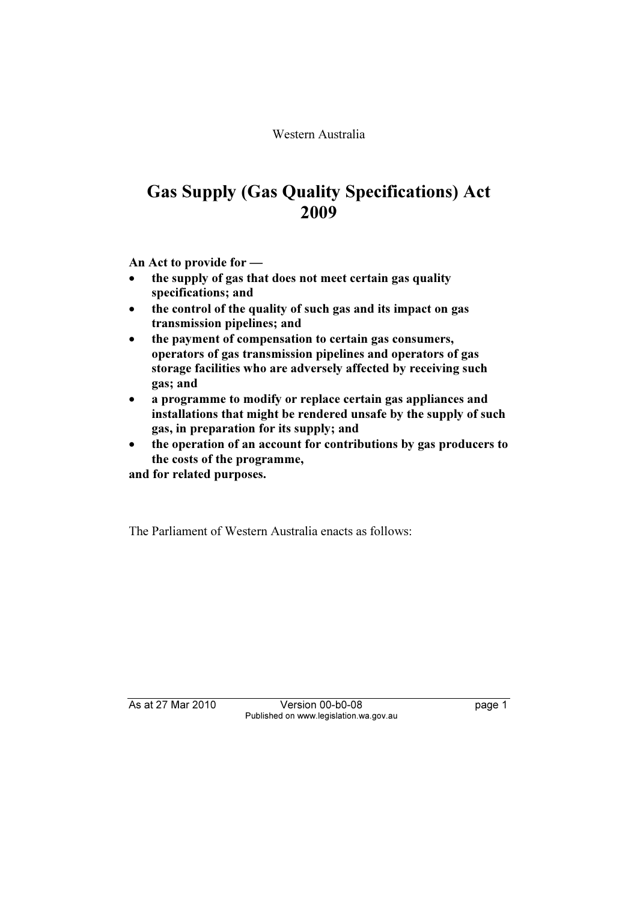Western Australia

# Gas Supply (Gas Quality Specifications) Act 2009

An Act to provide for —

- • the supply of gas that does not meet certain gas quality specifications; and
- • the control of the quality of such gas and its impact on gas transmission pipelines; and
- • the payment of compensation to certain gas consumers, operators of gas transmission pipelines and operators of gas storage facilities who are adversely affected by receiving such gas; and
- • a programme to modify or replace certain gas appliances and installations that might be rendered unsafe by the supply of such gas, in preparation for its supply; and
- • the operation of an account for contributions by gas producers to the costs of the programme,

and for related purposes.

The Parliament of Western Australia enacts as follows:

As at 27 Mar 2010 Version 00-b0-08 page 1 Published on www.legislation.wa.gov.au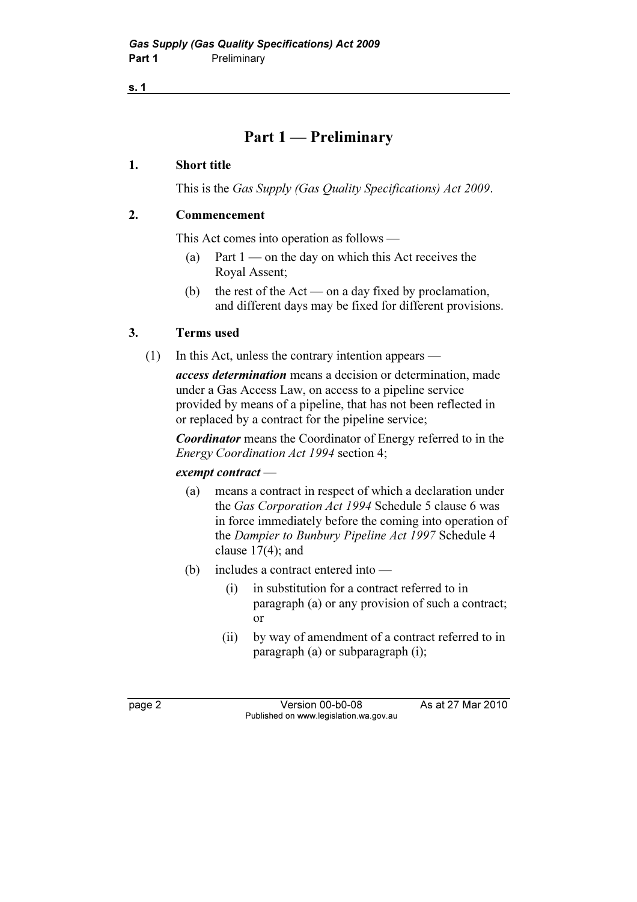# Part 1 — Preliminary

### 1. Short title

This is the Gas Supply (Gas Quality Specifications) Act 2009.

## 2. Commencement

This Act comes into operation as follows —

- (a) Part  $1$  on the day on which this Act receives the Royal Assent;
- (b) the rest of the Act on a day fixed by proclamation, and different days may be fixed for different provisions.

# 3. Terms used

(1) In this Act, unless the contrary intention appears —

access determination means a decision or determination, made under a Gas Access Law, on access to a pipeline service provided by means of a pipeline, that has not been reflected in or replaced by a contract for the pipeline service;

Coordinator means the Coordinator of Energy referred to in the Energy Coordination Act 1994 section 4;

### exempt contract —

- (a) means a contract in respect of which a declaration under the Gas Corporation Act 1994 Schedule 5 clause 6 was in force immediately before the coming into operation of the Dampier to Bunbury Pipeline Act 1997 Schedule 4 clause 17(4); and
- (b) includes a contract entered into
	- (i) in substitution for a contract referred to in paragraph (a) or any provision of such a contract; or
	- (ii) by way of amendment of a contract referred to in paragraph (a) or subparagraph (i);

page 2 Version 00-b0-08 As at 27 Mar 2010 Published on www.legislation.wa.gov.au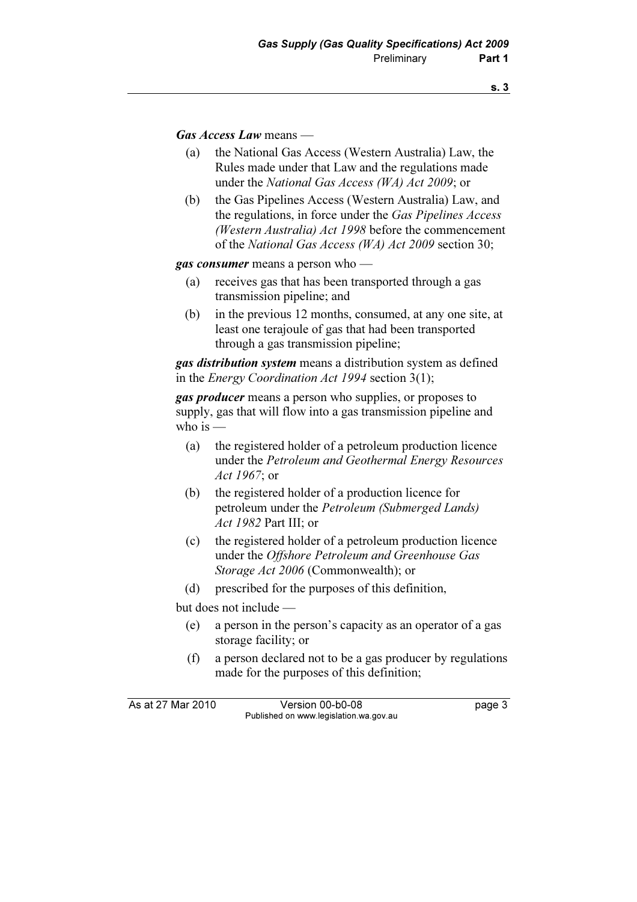Gas Access Law means —

- (a) the National Gas Access (Western Australia) Law, the Rules made under that Law and the regulations made under the National Gas Access (WA) Act 2009; or
- (b) the Gas Pipelines Access (Western Australia) Law, and the regulations, in force under the Gas Pipelines Access (Western Australia) Act 1998 before the commencement of the National Gas Access (WA) Act 2009 section 30;

gas consumer means a person who —

- (a) receives gas that has been transported through a gas transmission pipeline; and
- (b) in the previous 12 months, consumed, at any one site, at least one terajoule of gas that had been transported through a gas transmission pipeline;

**gas distribution system** means a distribution system as defined in the Energy Coordination Act 1994 section 3(1);

**gas producer** means a person who supplies, or proposes to supply, gas that will flow into a gas transmission pipeline and who is  $-$ 

- (a) the registered holder of a petroleum production licence under the Petroleum and Geothermal Energy Resources Act 1967; or
- (b) the registered holder of a production licence for petroleum under the Petroleum (Submerged Lands) Act 1982 Part III; or
- (c) the registered holder of a petroleum production licence under the Offshore Petroleum and Greenhouse Gas Storage Act 2006 (Commonwealth); or
- (d) prescribed for the purposes of this definition,

but does not include —

- (e) a person in the person's capacity as an operator of a gas storage facility; or
- (f) a person declared not to be a gas producer by regulations made for the purposes of this definition;

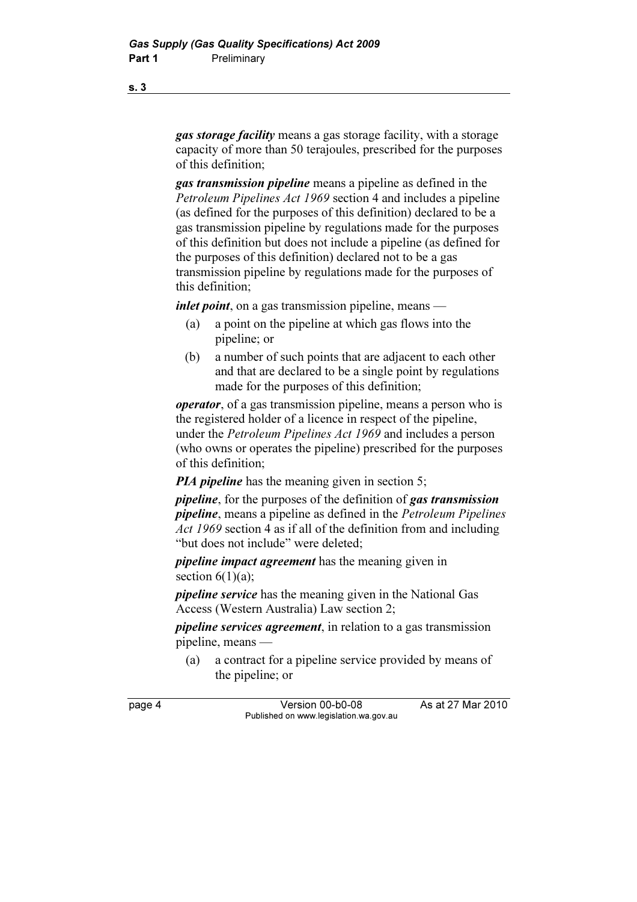gas storage facility means a gas storage facility, with a storage capacity of more than 50 terajoules, prescribed for the purposes of this definition;

gas transmission pipeline means a pipeline as defined in the Petroleum Pipelines Act 1969 section 4 and includes a pipeline (as defined for the purposes of this definition) declared to be a gas transmission pipeline by regulations made for the purposes of this definition but does not include a pipeline (as defined for the purposes of this definition) declared not to be a gas transmission pipeline by regulations made for the purposes of this definition;

inlet point, on a gas transmission pipeline, means —

- (a) a point on the pipeline at which gas flows into the pipeline; or
- (b) a number of such points that are adjacent to each other and that are declared to be a single point by regulations made for the purposes of this definition;

operator, of a gas transmission pipeline, means a person who is the registered holder of a licence in respect of the pipeline, under the Petroleum Pipelines Act 1969 and includes a person (who owns or operates the pipeline) prescribed for the purposes of this definition;

*PIA pipeline* has the meaning given in section 5;

pipeline, for the purposes of the definition of gas transmission pipeline, means a pipeline as defined in the Petroleum Pipelines Act 1969 section 4 as if all of the definition from and including "but does not include" were deleted;

pipeline impact agreement has the meaning given in section  $6(1)(a)$ ;

pipeline service has the meaning given in the National Gas Access (Western Australia) Law section 2;

pipeline services agreement, in relation to a gas transmission pipeline, means —

 (a) a contract for a pipeline service provided by means of the pipeline; or

page 4 Version 00-b0-08 As at 27 Mar 2010 Published on www.legislation.wa.gov.au

s. 3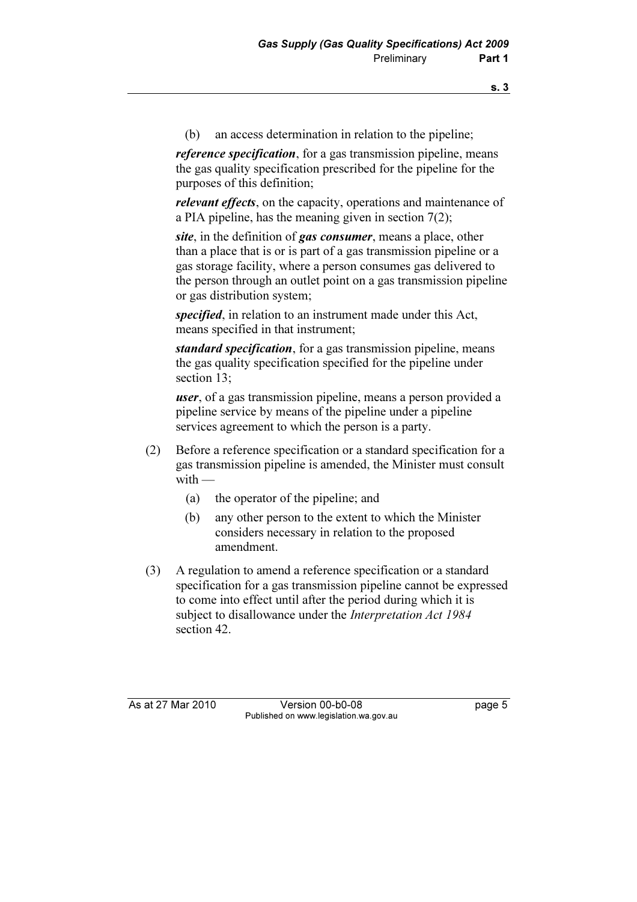(b) an access determination in relation to the pipeline;

reference specification, for a gas transmission pipeline, means the gas quality specification prescribed for the pipeline for the purposes of this definition;

relevant effects, on the capacity, operations and maintenance of a PIA pipeline, has the meaning given in section 7(2);

site, in the definition of gas consumer, means a place, other than a place that is or is part of a gas transmission pipeline or a gas storage facility, where a person consumes gas delivered to the person through an outlet point on a gas transmission pipeline or gas distribution system;

specified, in relation to an instrument made under this Act, means specified in that instrument;

standard specification, for a gas transmission pipeline, means the gas quality specification specified for the pipeline under section 13;

user, of a gas transmission pipeline, means a person provided a pipeline service by means of the pipeline under a pipeline services agreement to which the person is a party.

- (2) Before a reference specification or a standard specification for a gas transmission pipeline is amended, the Minister must consult with —
	- (a) the operator of the pipeline; and
	- (b) any other person to the extent to which the Minister considers necessary in relation to the proposed amendment.
- (3) A regulation to amend a reference specification or a standard specification for a gas transmission pipeline cannot be expressed to come into effect until after the period during which it is subject to disallowance under the *Interpretation Act 1984* section 42.

As at 27 Mar 2010 Version 00-b0-08 page 5 Published on www.legislation.wa.gov.au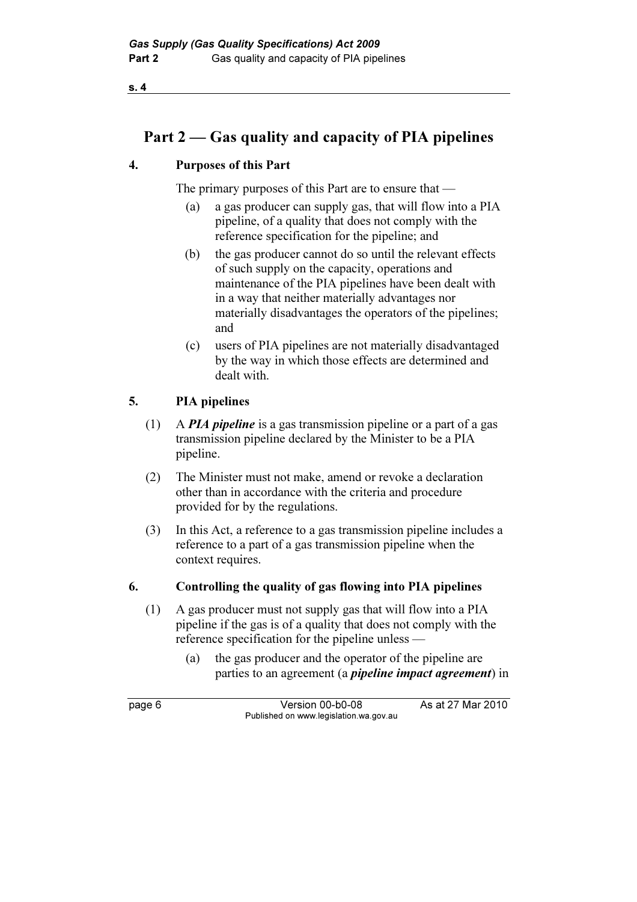# Part 2 — Gas quality and capacity of PIA pipelines

# 4. Purposes of this Part

The primary purposes of this Part are to ensure that —

- (a) a gas producer can supply gas, that will flow into a PIA pipeline, of a quality that does not comply with the reference specification for the pipeline; and
- (b) the gas producer cannot do so until the relevant effects of such supply on the capacity, operations and maintenance of the PIA pipelines have been dealt with in a way that neither materially advantages nor materially disadvantages the operators of the pipelines; and
- (c) users of PIA pipelines are not materially disadvantaged by the way in which those effects are determined and dealt with.

# 5. PIA pipelines

- (1) A **PIA pipeline** is a gas transmission pipeline or a part of a gas transmission pipeline declared by the Minister to be a PIA pipeline.
- (2) The Minister must not make, amend or revoke a declaration other than in accordance with the criteria and procedure provided for by the regulations.
- (3) In this Act, a reference to a gas transmission pipeline includes a reference to a part of a gas transmission pipeline when the context requires.

# 6. Controlling the quality of gas flowing into PIA pipelines

- (1) A gas producer must not supply gas that will flow into a PIA pipeline if the gas is of a quality that does not comply with the reference specification for the pipeline unless —
	- (a) the gas producer and the operator of the pipeline are parties to an agreement (a *pipeline impact agreement*) in

page 6 Version 00-b0-08 As at 27 Mar 2010 Published on www.legislation.wa.gov.au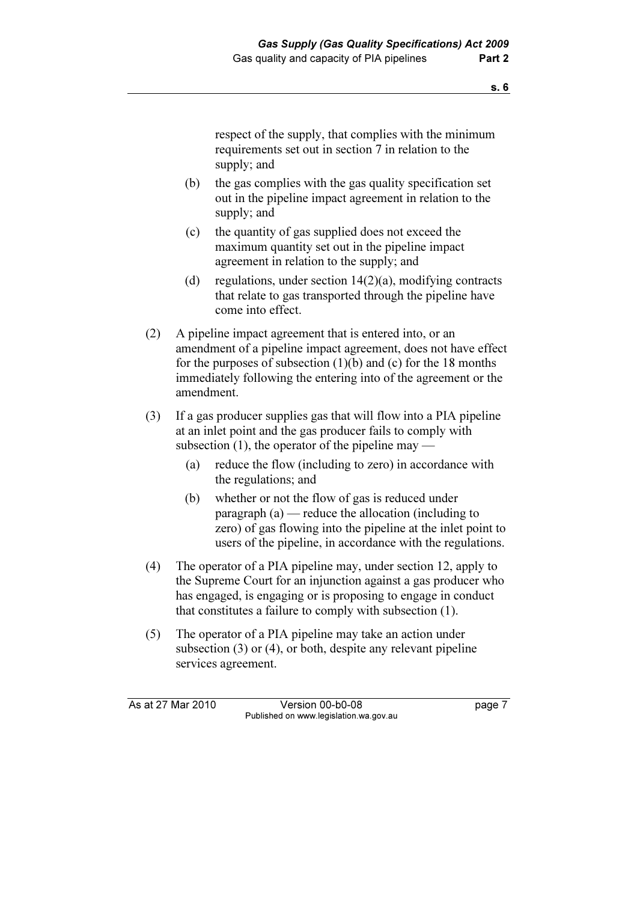respect of the supply, that complies with the minimum requirements set out in section 7 in relation to the supply; and

- (b) the gas complies with the gas quality specification set out in the pipeline impact agreement in relation to the supply; and
- (c) the quantity of gas supplied does not exceed the maximum quantity set out in the pipeline impact agreement in relation to the supply; and
- (d) regulations, under section  $14(2)(a)$ , modifying contracts that relate to gas transported through the pipeline have come into effect.
- (2) A pipeline impact agreement that is entered into, or an amendment of a pipeline impact agreement, does not have effect for the purposes of subsection (1)(b) and (c) for the 18 months immediately following the entering into of the agreement or the amendment.
- (3) If a gas producer supplies gas that will flow into a PIA pipeline at an inlet point and the gas producer fails to comply with subsection  $(1)$ , the operator of the pipeline may —
	- (a) reduce the flow (including to zero) in accordance with the regulations; and
	- (b) whether or not the flow of gas is reduced under paragraph (a) — reduce the allocation (including to zero) of gas flowing into the pipeline at the inlet point to users of the pipeline, in accordance with the regulations.
- (4) The operator of a PIA pipeline may, under section 12, apply to the Supreme Court for an injunction against a gas producer who has engaged, is engaging or is proposing to engage in conduct that constitutes a failure to comply with subsection (1).
- (5) The operator of a PIA pipeline may take an action under subsection (3) or (4), or both, despite any relevant pipeline services agreement.

As at 27 Mar 2010 Version 00-b0-08 page 7 Published on www.legislation.wa.gov.au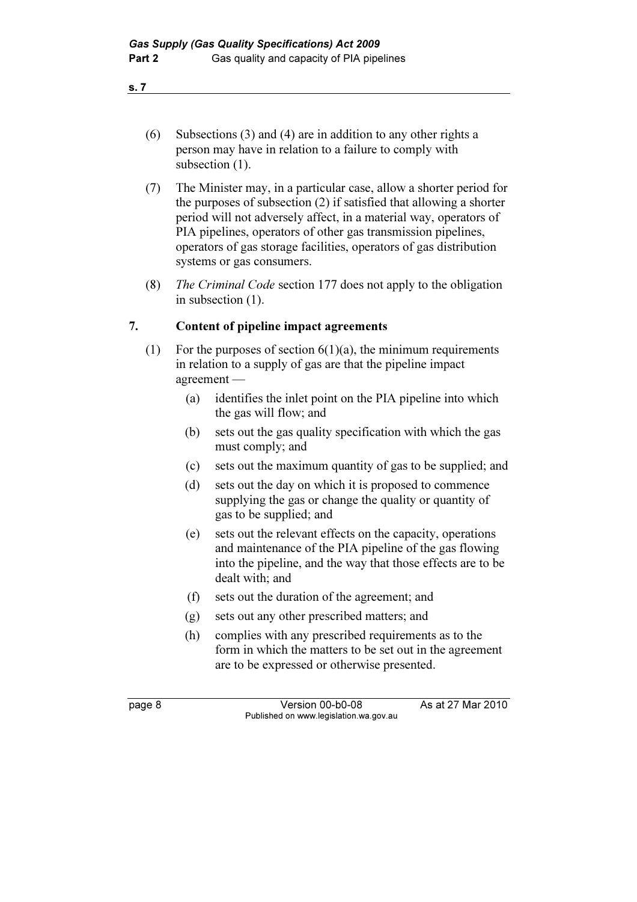- (6) Subsections (3) and (4) are in addition to any other rights a person may have in relation to a failure to comply with subsection  $(1)$ .
- (7) The Minister may, in a particular case, allow a shorter period for the purposes of subsection (2) if satisfied that allowing a shorter period will not adversely affect, in a material way, operators of PIA pipelines, operators of other gas transmission pipelines, operators of gas storage facilities, operators of gas distribution systems or gas consumers.
- (8) The Criminal Code section 177 does not apply to the obligation in subsection (1).

## 7. Content of pipeline impact agreements

- (1) For the purposes of section  $6(1)(a)$ , the minimum requirements in relation to a supply of gas are that the pipeline impact agreement —
	- (a) identifies the inlet point on the PIA pipeline into which the gas will flow; and
	- (b) sets out the gas quality specification with which the gas must comply; and
	- (c) sets out the maximum quantity of gas to be supplied; and
	- (d) sets out the day on which it is proposed to commence supplying the gas or change the quality or quantity of gas to be supplied; and
	- (e) sets out the relevant effects on the capacity, operations and maintenance of the PIA pipeline of the gas flowing into the pipeline, and the way that those effects are to be dealt with; and
	- (f) sets out the duration of the agreement; and
	- (g) sets out any other prescribed matters; and
	- (h) complies with any prescribed requirements as to the form in which the matters to be set out in the agreement are to be expressed or otherwise presented.

page 8 Version 00-b0-08 As at 27 Mar 2010 Published on www.legislation.wa.gov.au

s. 7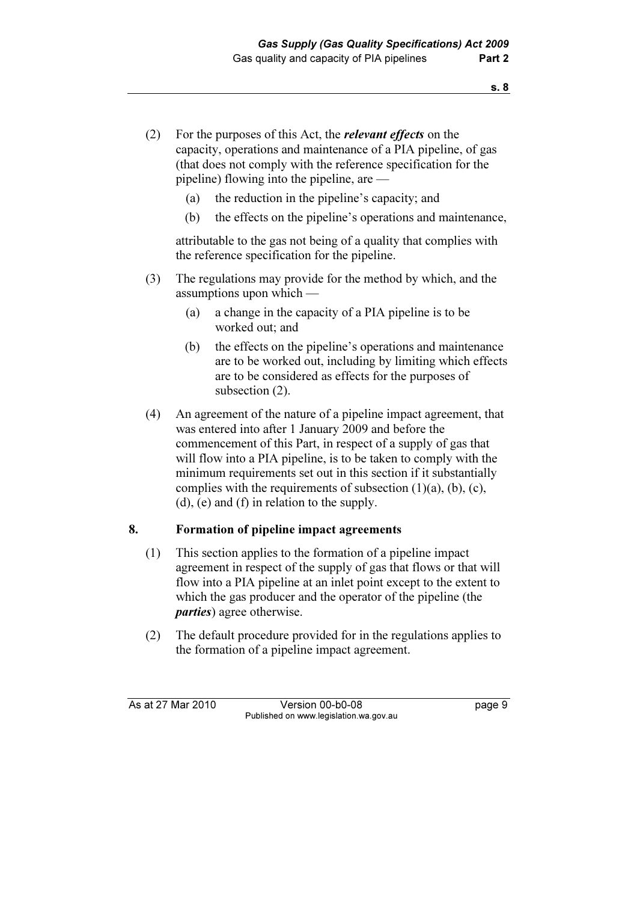- (2) For the purposes of this Act, the relevant effects on the capacity, operations and maintenance of a PIA pipeline, of gas (that does not comply with the reference specification for the pipeline) flowing into the pipeline, are —
	- (a) the reduction in the pipeline's capacity; and
	- (b) the effects on the pipeline's operations and maintenance,

 attributable to the gas not being of a quality that complies with the reference specification for the pipeline.

- (3) The regulations may provide for the method by which, and the assumptions upon which —
	- (a) a change in the capacity of a PIA pipeline is to be worked out; and
	- (b) the effects on the pipeline's operations and maintenance are to be worked out, including by limiting which effects are to be considered as effects for the purposes of subsection (2).
- (4) An agreement of the nature of a pipeline impact agreement, that was entered into after 1 January 2009 and before the commencement of this Part, in respect of a supply of gas that will flow into a PIA pipeline, is to be taken to comply with the minimum requirements set out in this section if it substantially complies with the requirements of subsection  $(1)(a)$ ,  $(b)$ ,  $(c)$ , (d), (e) and (f) in relation to the supply.

# 8. Formation of pipeline impact agreements

- (1) This section applies to the formation of a pipeline impact agreement in respect of the supply of gas that flows or that will flow into a PIA pipeline at an inlet point except to the extent to which the gas producer and the operator of the pipeline (the parties) agree otherwise.
- (2) The default procedure provided for in the regulations applies to the formation of a pipeline impact agreement.

As at 27 Mar 2010 Version 00-b0-08 page 9 Published on www.legislation.wa.gov.au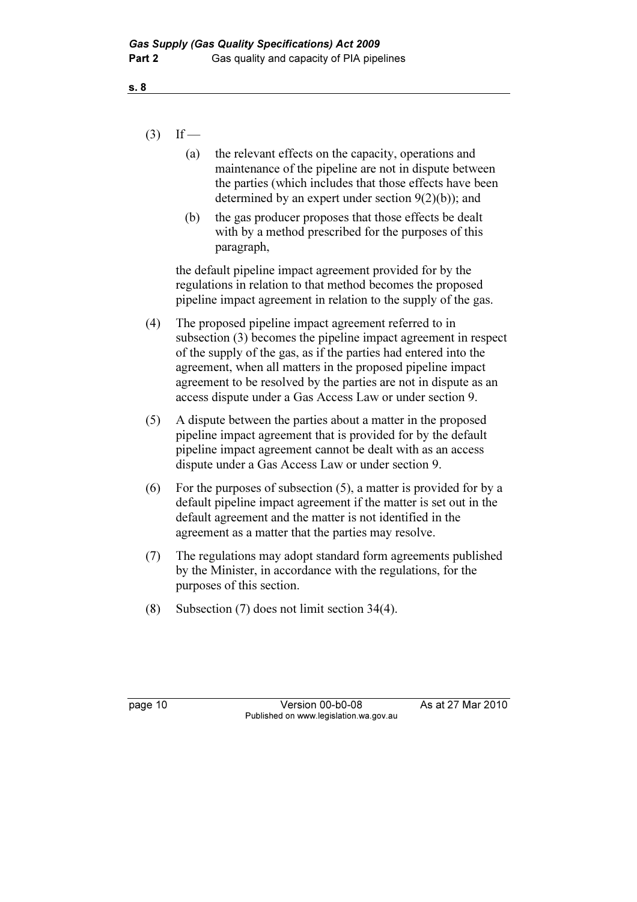## $(3)$  If —

- (a) the relevant effects on the capacity, operations and maintenance of the pipeline are not in dispute between the parties (which includes that those effects have been determined by an expert under section 9(2)(b)); and
- (b) the gas producer proposes that those effects be dealt with by a method prescribed for the purposes of this paragraph,

 the default pipeline impact agreement provided for by the regulations in relation to that method becomes the proposed pipeline impact agreement in relation to the supply of the gas.

- (4) The proposed pipeline impact agreement referred to in subsection (3) becomes the pipeline impact agreement in respect of the supply of the gas, as if the parties had entered into the agreement, when all matters in the proposed pipeline impact agreement to be resolved by the parties are not in dispute as an access dispute under a Gas Access Law or under section 9.
- (5) A dispute between the parties about a matter in the proposed pipeline impact agreement that is provided for by the default pipeline impact agreement cannot be dealt with as an access dispute under a Gas Access Law or under section 9.
- (6) For the purposes of subsection (5), a matter is provided for by a default pipeline impact agreement if the matter is set out in the default agreement and the matter is not identified in the agreement as a matter that the parties may resolve.
- (7) The regulations may adopt standard form agreements published by the Minister, in accordance with the regulations, for the purposes of this section.
- (8) Subsection (7) does not limit section 34(4).

page 10 Version 00-b0-08 As at 27 Mar 2010 Published on www.legislation.wa.gov.au

s. 8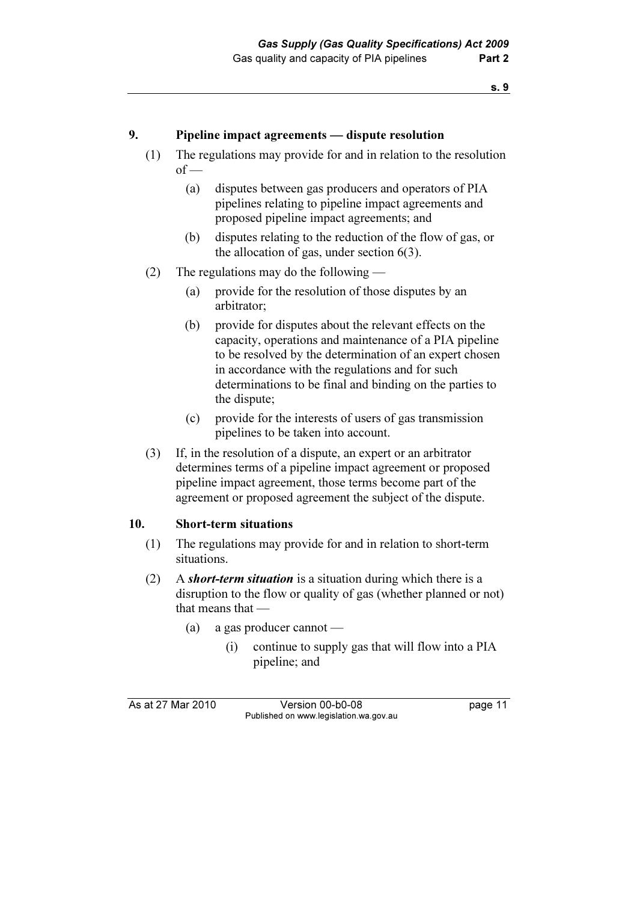## 9. Pipeline impact agreements — dispute resolution

- (1) The regulations may provide for and in relation to the resolution  $of$  —
	- (a) disputes between gas producers and operators of PIA pipelines relating to pipeline impact agreements and proposed pipeline impact agreements; and
	- (b) disputes relating to the reduction of the flow of gas, or the allocation of gas, under section 6(3).
- (2) The regulations may do the following
	- (a) provide for the resolution of those disputes by an arbitrator;
	- (b) provide for disputes about the relevant effects on the capacity, operations and maintenance of a PIA pipeline to be resolved by the determination of an expert chosen in accordance with the regulations and for such determinations to be final and binding on the parties to the dispute;
	- (c) provide for the interests of users of gas transmission pipelines to be taken into account.
- (3) If, in the resolution of a dispute, an expert or an arbitrator determines terms of a pipeline impact agreement or proposed pipeline impact agreement, those terms become part of the agreement or proposed agreement the subject of the dispute.

### 10. Short-term situations

- (1) The regulations may provide for and in relation to short-term situations.
- (2) A short-term situation is a situation during which there is a disruption to the flow or quality of gas (whether planned or not) that means that —
	- (a) a gas producer cannot
		- (i) continue to supply gas that will flow into a PIA pipeline; and

As at 27 Mar 2010 Version 00-b0-08 page 11 Published on www.legislation.wa.gov.au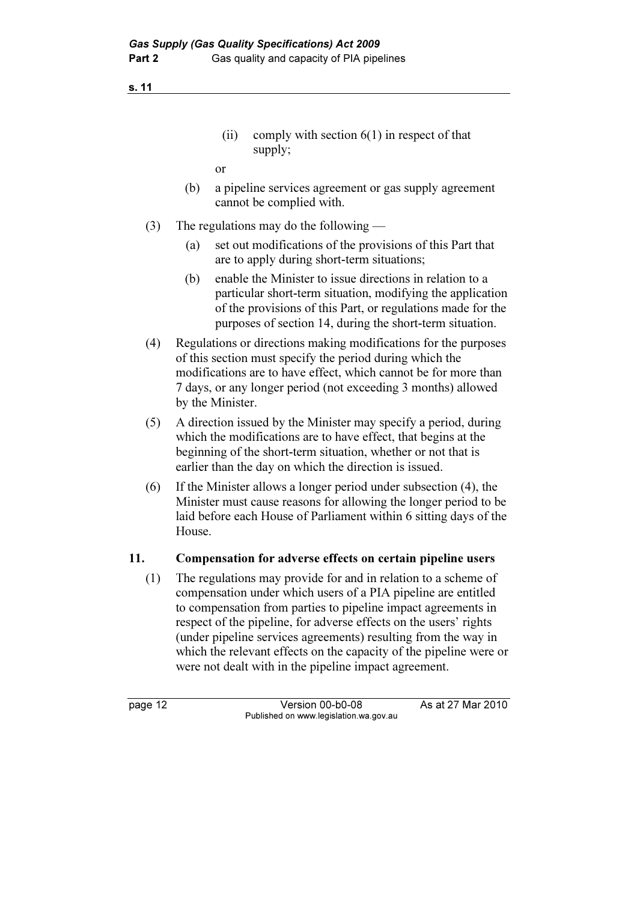- (ii) comply with section  $6(1)$  in respect of that supply;
- or
- (b) a pipeline services agreement or gas supply agreement cannot be complied with.
- (3) The regulations may do the following
	- (a) set out modifications of the provisions of this Part that are to apply during short-term situations;
	- (b) enable the Minister to issue directions in relation to a particular short-term situation, modifying the application of the provisions of this Part, or regulations made for the purposes of section 14, during the short-term situation.
- (4) Regulations or directions making modifications for the purposes of this section must specify the period during which the modifications are to have effect, which cannot be for more than 7 days, or any longer period (not exceeding 3 months) allowed by the Minister.
- (5) A direction issued by the Minister may specify a period, during which the modifications are to have effect, that begins at the beginning of the short-term situation, whether or not that is earlier than the day on which the direction is issued.
- (6) If the Minister allows a longer period under subsection (4), the Minister must cause reasons for allowing the longer period to be laid before each House of Parliament within 6 sitting days of the House.

# 11. Compensation for adverse effects on certain pipeline users

 (1) The regulations may provide for and in relation to a scheme of compensation under which users of a PIA pipeline are entitled to compensation from parties to pipeline impact agreements in respect of the pipeline, for adverse effects on the users' rights (under pipeline services agreements) resulting from the way in which the relevant effects on the capacity of the pipeline were or were not dealt with in the pipeline impact agreement.

page 12 Version 00-b0-08 As at 27 Mar 2010 Published on www.legislation.wa.gov.au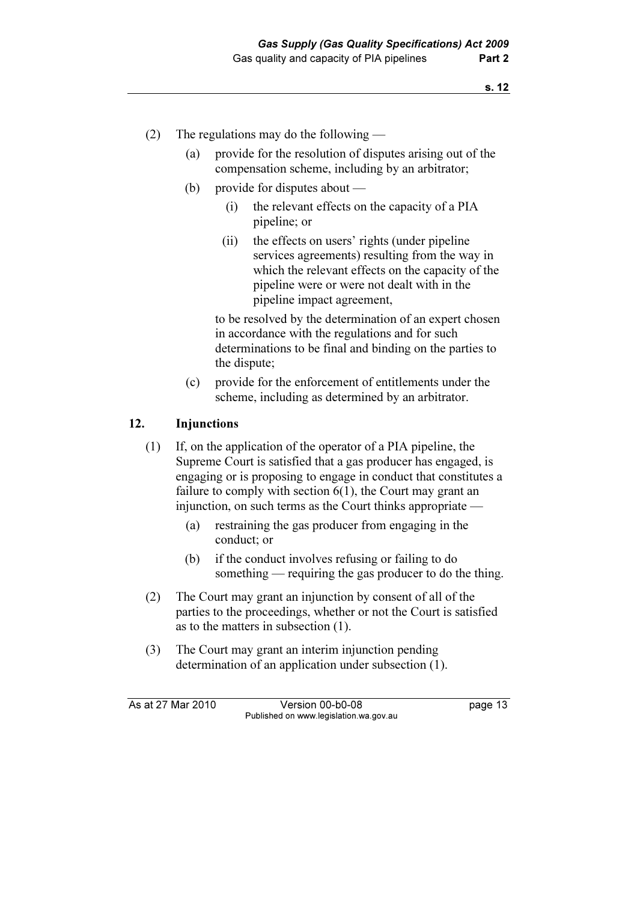- (2) The regulations may do the following
	- (a) provide for the resolution of disputes arising out of the compensation scheme, including by an arbitrator;
	- (b) provide for disputes about
		- (i) the relevant effects on the capacity of a PIA pipeline; or
		- (ii) the effects on users' rights (under pipeline services agreements) resulting from the way in which the relevant effects on the capacity of the pipeline were or were not dealt with in the pipeline impact agreement,

 to be resolved by the determination of an expert chosen in accordance with the regulations and for such determinations to be final and binding on the parties to the dispute;

 (c) provide for the enforcement of entitlements under the scheme, including as determined by an arbitrator.

## 12. Injunctions

- (1) If, on the application of the operator of a PIA pipeline, the Supreme Court is satisfied that a gas producer has engaged, is engaging or is proposing to engage in conduct that constitutes a failure to comply with section 6(1), the Court may grant an injunction, on such terms as the Court thinks appropriate —
	- (a) restraining the gas producer from engaging in the conduct; or
	- (b) if the conduct involves refusing or failing to do something — requiring the gas producer to do the thing.
- (2) The Court may grant an injunction by consent of all of the parties to the proceedings, whether or not the Court is satisfied as to the matters in subsection (1).
- (3) The Court may grant an interim injunction pending determination of an application under subsection (1).

As at 27 Mar 2010 Version 00-b0-08 page 13 Published on www.legislation.wa.gov.au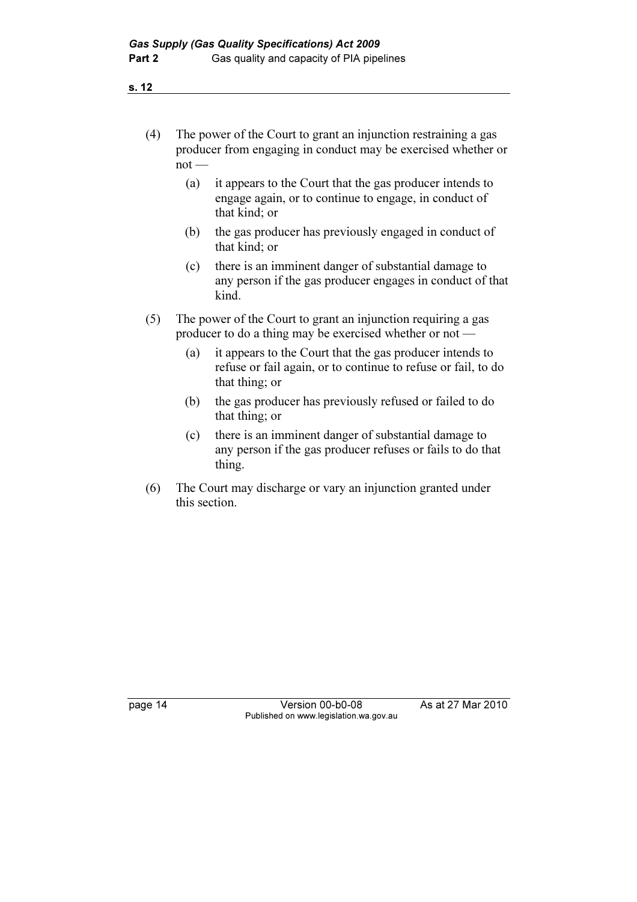- (4) The power of the Court to grant an injunction restraining a gas producer from engaging in conduct may be exercised whether or not —
	- (a) it appears to the Court that the gas producer intends to engage again, or to continue to engage, in conduct of that kind; or
	- (b) the gas producer has previously engaged in conduct of that kind; or
	- (c) there is an imminent danger of substantial damage to any person if the gas producer engages in conduct of that kind.
- (5) The power of the Court to grant an injunction requiring a gas producer to do a thing may be exercised whether or not —
	- (a) it appears to the Court that the gas producer intends to refuse or fail again, or to continue to refuse or fail, to do that thing; or
	- (b) the gas producer has previously refused or failed to do that thing; or
	- (c) there is an imminent danger of substantial damage to any person if the gas producer refuses or fails to do that thing.
- (6) The Court may discharge or vary an injunction granted under this section.

page 14 Version 00-b0-08 As at 27 Mar 2010 Published on www.legislation.wa.gov.au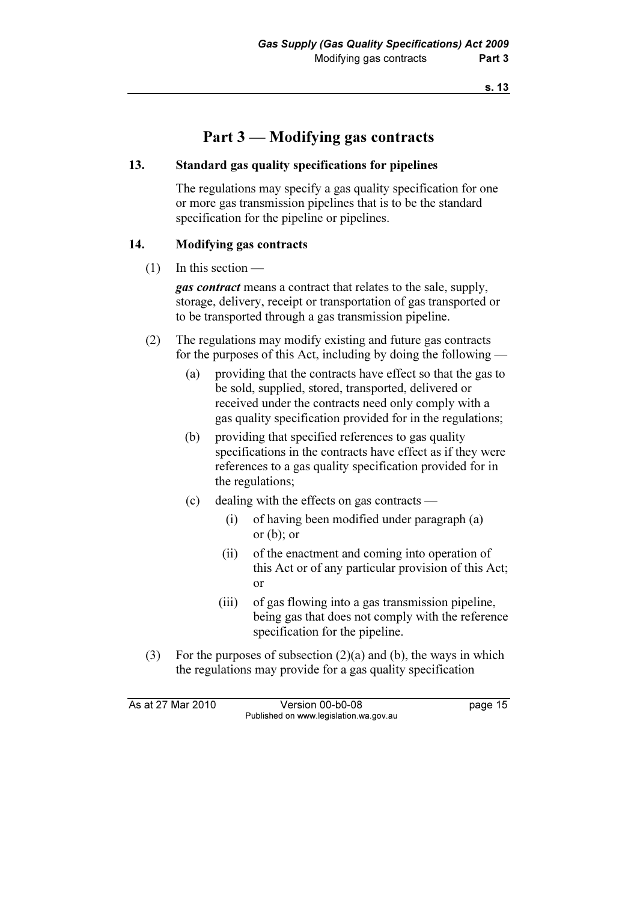# Part 3 — Modifying gas contracts

### 13. Standard gas quality specifications for pipelines

 The regulations may specify a gas quality specification for one or more gas transmission pipelines that is to be the standard specification for the pipeline or pipelines.

## 14. Modifying gas contracts

 $(1)$  In this section —

gas contract means a contract that relates to the sale, supply, storage, delivery, receipt or transportation of gas transported or to be transported through a gas transmission pipeline.

- (2) The regulations may modify existing and future gas contracts for the purposes of this Act, including by doing the following —
	- (a) providing that the contracts have effect so that the gas to be sold, supplied, stored, transported, delivered or received under the contracts need only comply with a gas quality specification provided for in the regulations;
	- (b) providing that specified references to gas quality specifications in the contracts have effect as if they were references to a gas quality specification provided for in the regulations;
	- (c) dealing with the effects on gas contracts
		- (i) of having been modified under paragraph (a) or (b); or
		- (ii) of the enactment and coming into operation of this Act or of any particular provision of this Act; or
		- (iii) of gas flowing into a gas transmission pipeline, being gas that does not comply with the reference specification for the pipeline.
- (3) For the purposes of subsection  $(2)(a)$  and  $(b)$ , the ways in which the regulations may provide for a gas quality specification

As at 27 Mar 2010 Version 00-b0-08 page 15 Published on www.legislation.wa.gov.au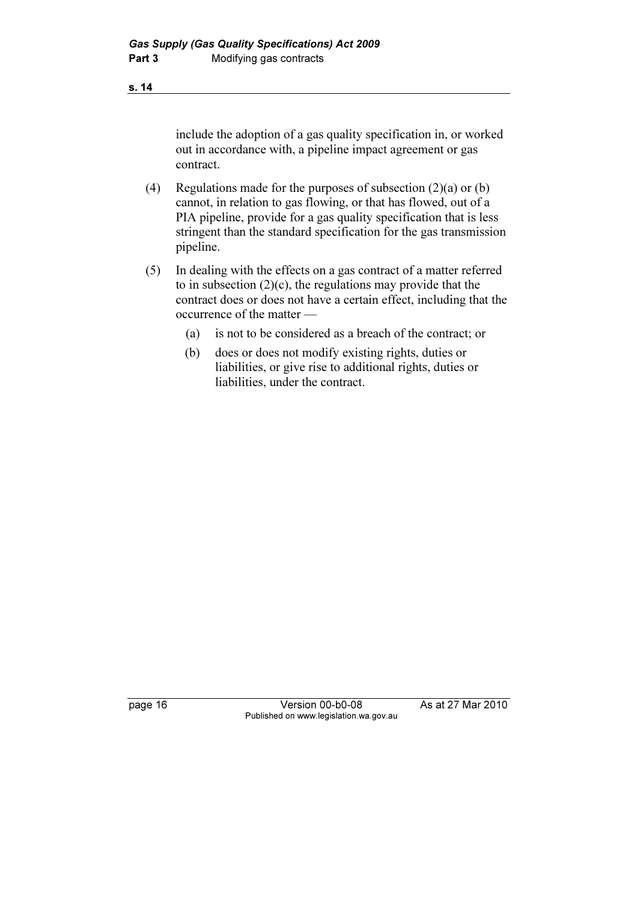include the adoption of a gas quality specification in, or worked out in accordance with, a pipeline impact agreement or gas contract.

- (4) Regulations made for the purposes of subsection  $(2)(a)$  or  $(b)$ cannot, in relation to gas flowing, or that has flowed, out of a PIA pipeline, provide for a gas quality specification that is less stringent than the standard specification for the gas transmission pipeline.
- (5) In dealing with the effects on a gas contract of a matter referred to in subsection  $(2)(c)$ , the regulations may provide that the contract does or does not have a certain effect, including that the occurrence of the matter —
	- (a) is not to be considered as a breach of the contract; or
	- (b) does or does not modify existing rights, duties or liabilities, or give rise to additional rights, duties or liabilities, under the contract.

page 16 Version 00-b0-08 As at 27 Mar 2010 Published on www.legislation.wa.gov.au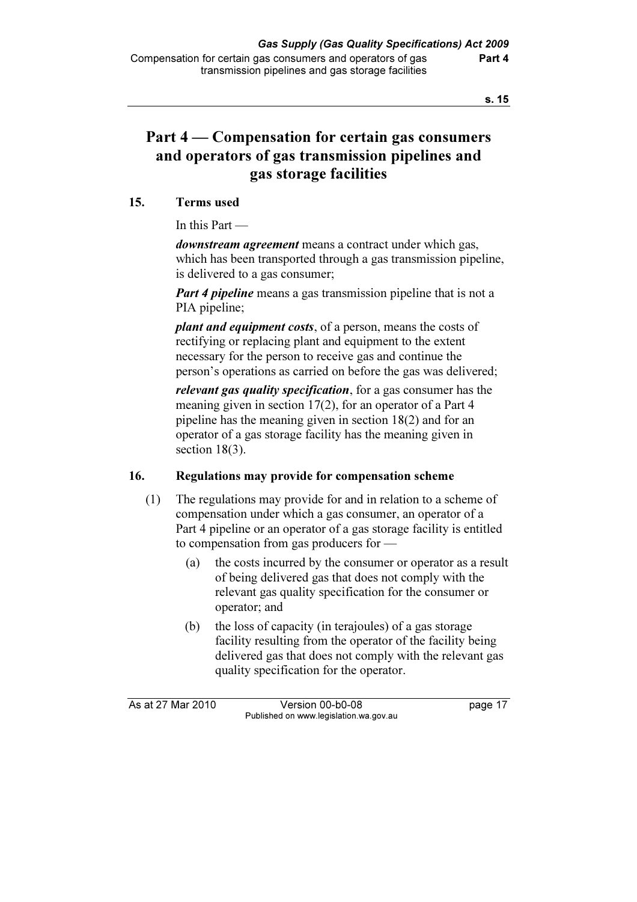# Part 4 — Compensation for certain gas consumers and operators of gas transmission pipelines and gas storage facilities

# 15. Terms used

In this Part —

downstream agreement means a contract under which gas, which has been transported through a gas transmission pipeline, is delivered to a gas consumer;

**Part 4 pipeline** means a gas transmission pipeline that is not a PIA pipeline;

plant and equipment costs, of a person, means the costs of rectifying or replacing plant and equipment to the extent necessary for the person to receive gas and continue the person's operations as carried on before the gas was delivered;

relevant gas quality specification, for a gas consumer has the meaning given in section 17(2), for an operator of a Part 4 pipeline has the meaning given in section 18(2) and for an operator of a gas storage facility has the meaning given in section 18(3).

# 16. Regulations may provide for compensation scheme

- (1) The regulations may provide for and in relation to a scheme of compensation under which a gas consumer, an operator of a Part 4 pipeline or an operator of a gas storage facility is entitled to compensation from gas producers for —
	- (a) the costs incurred by the consumer or operator as a result of being delivered gas that does not comply with the relevant gas quality specification for the consumer or operator; and
	- (b) the loss of capacity (in terajoules) of a gas storage facility resulting from the operator of the facility being delivered gas that does not comply with the relevant gas quality specification for the operator.

As at 27 Mar 2010 Version 00-b0-08 page 17 Published on www.legislation.wa.gov.au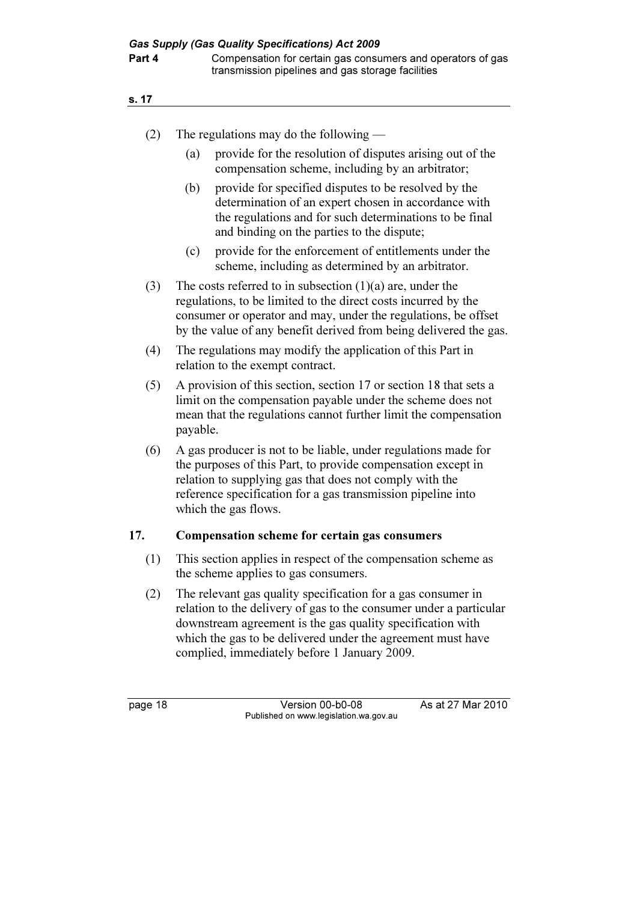- (2) The regulations may do the following
	- (a) provide for the resolution of disputes arising out of the compensation scheme, including by an arbitrator;
	- (b) provide for specified disputes to be resolved by the determination of an expert chosen in accordance with the regulations and for such determinations to be final and binding on the parties to the dispute;
	- (c) provide for the enforcement of entitlements under the scheme, including as determined by an arbitrator.
- (3) The costs referred to in subsection  $(1)(a)$  are, under the regulations, to be limited to the direct costs incurred by the consumer or operator and may, under the regulations, be offset by the value of any benefit derived from being delivered the gas.
- (4) The regulations may modify the application of this Part in relation to the exempt contract.
- (5) A provision of this section, section 17 or section 18 that sets a limit on the compensation payable under the scheme does not mean that the regulations cannot further limit the compensation payable.
- (6) A gas producer is not to be liable, under regulations made for the purposes of this Part, to provide compensation except in relation to supplying gas that does not comply with the reference specification for a gas transmission pipeline into which the gas flows.

### 17. Compensation scheme for certain gas consumers

- (1) This section applies in respect of the compensation scheme as the scheme applies to gas consumers.
- (2) The relevant gas quality specification for a gas consumer in relation to the delivery of gas to the consumer under a particular downstream agreement is the gas quality specification with which the gas to be delivered under the agreement must have complied, immediately before 1 January 2009.

page 18 Version 00-b0-08 As at 27 Mar 2010 Published on www.legislation.wa.gov.au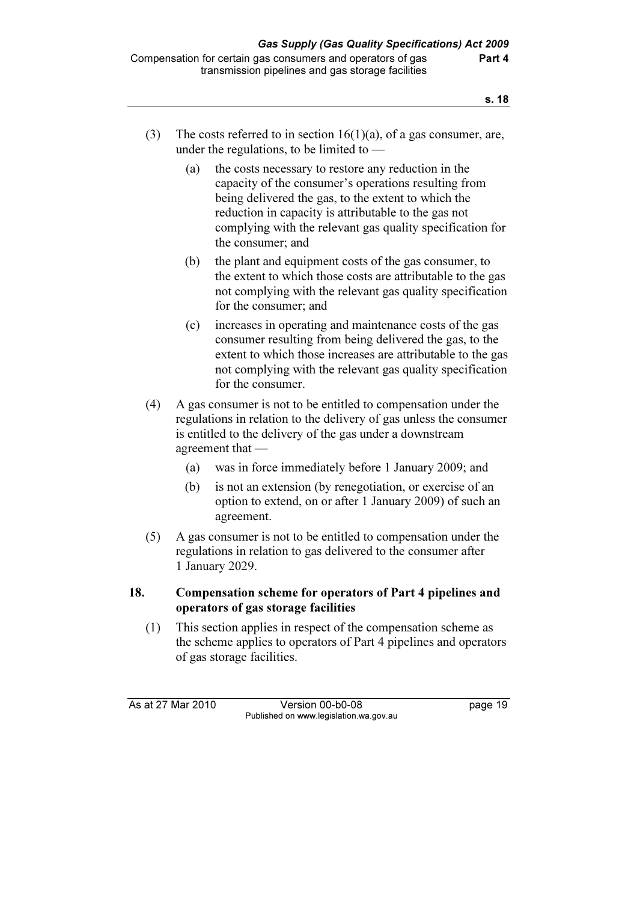- (3) The costs referred to in section  $16(1)(a)$ , of a gas consumer, are, under the regulations, to be limited to —
	- (a) the costs necessary to restore any reduction in the capacity of the consumer's operations resulting from being delivered the gas, to the extent to which the reduction in capacity is attributable to the gas not complying with the relevant gas quality specification for the consumer; and
	- (b) the plant and equipment costs of the gas consumer, to the extent to which those costs are attributable to the gas not complying with the relevant gas quality specification for the consumer; and
	- (c) increases in operating and maintenance costs of the gas consumer resulting from being delivered the gas, to the extent to which those increases are attributable to the gas not complying with the relevant gas quality specification for the consumer.
- (4) A gas consumer is not to be entitled to compensation under the regulations in relation to the delivery of gas unless the consumer is entitled to the delivery of the gas under a downstream agreement that —
	- (a) was in force immediately before 1 January 2009; and
	- (b) is not an extension (by renegotiation, or exercise of an option to extend, on or after 1 January 2009) of such an agreement.
- (5) A gas consumer is not to be entitled to compensation under the regulations in relation to gas delivered to the consumer after 1 January 2029.

# 18. Compensation scheme for operators of Part 4 pipelines and operators of gas storage facilities

 (1) This section applies in respect of the compensation scheme as the scheme applies to operators of Part 4 pipelines and operators of gas storage facilities.

As at 27 Mar 2010 Version 00-b0-08 page 19 Published on www.legislation.wa.gov.au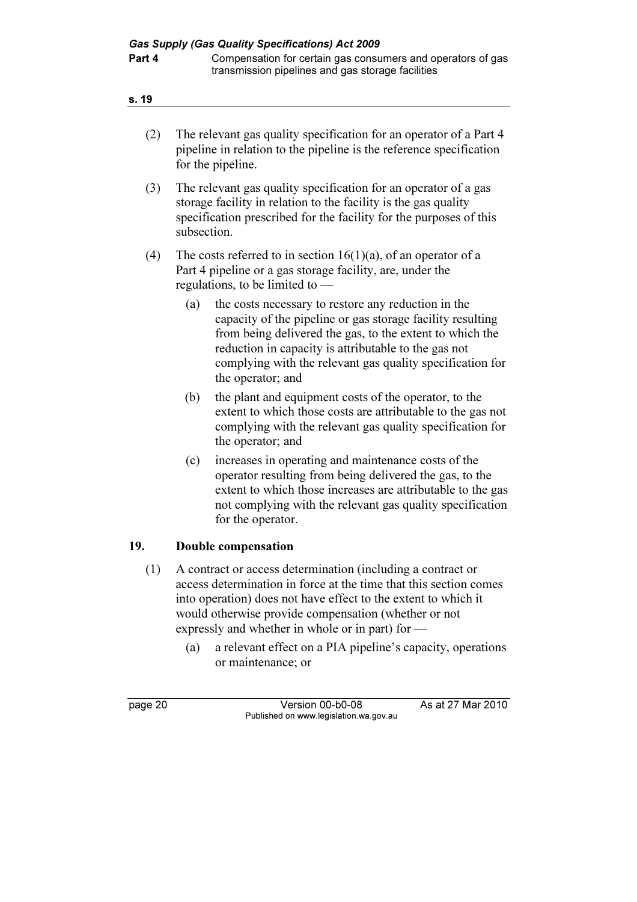| (2) | The relevant gas quality specification for an operator of a Part 4<br>pipeline in relation to the pipeline is the reference specification<br>for the pipeline.                                                                                                                                                                 |  |  |
|-----|--------------------------------------------------------------------------------------------------------------------------------------------------------------------------------------------------------------------------------------------------------------------------------------------------------------------------------|--|--|
| (3) | The relevant gas quality specification for an operator of a gas<br>storage facility in relation to the facility is the gas quality<br>specification prescribed for the facility for the purposes of this<br>subsection.                                                                                                        |  |  |
| (4) | The costs referred to in section $16(1)(a)$ , of an operator of a<br>Part 4 pipeline or a gas storage facility, are, under the<br>regulations, to be limited to —                                                                                                                                                              |  |  |
|     | (a)<br>the costs necessary to restore any reduction in the<br>capacity of the pipeline or gas storage facility resulting<br>from being delivered the gas, to the extent to which the<br>reduction in capacity is attributable to the gas not<br>complying with the relevant gas quality specification for<br>the operator; and |  |  |
|     | (b)<br>the plant and equipment costs of the operator, to the<br>extent to which those costs are attributable to the gas not<br>complying with the relevant gas quality specification for<br>the operator; and                                                                                                                  |  |  |
|     | increases in operating and maintenance costs of the<br>(c)<br>operator resulting from being delivered the gas, to the<br>extent to which those increases are attributable to the gas<br>not complying with the relevant gas quality specification<br>for the operator.                                                         |  |  |
| 19. | Double compensation                                                                                                                                                                                                                                                                                                            |  |  |
| (1) | A contract or access determination (including a contract or<br>access determination in force at the time that this section comes                                                                                                                                                                                               |  |  |

- access determination in force at the time that this section comes into operation) does not have effect to the extent to which it would otherwise provide compensation (whether or not expressly and whether in whole or in part) for —
	- (a) a relevant effect on a PIA pipeline's capacity, operations or maintenance; or

page 20 Version 00-b0-08 As at 27 Mar 2010 Published on www.legislation.wa.gov.au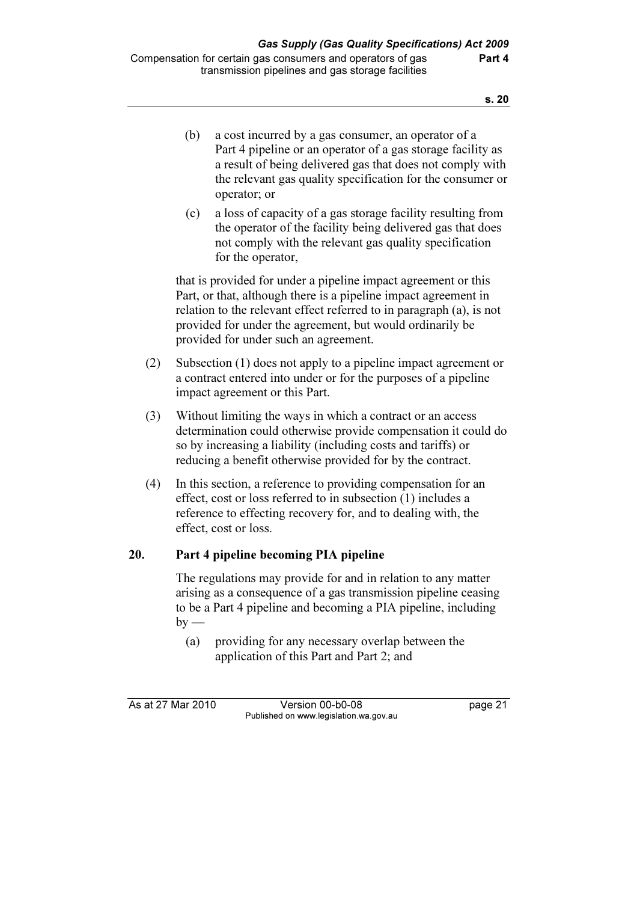| (b) | a cost incurred by a gas consumer, an operator of a<br>Part 4 pipeline or an operator of a gas storage facility as<br>a result of being delivered gas that does not comply with<br>the relevant gas quality specification for the consumer or<br>operator; or |
|-----|---------------------------------------------------------------------------------------------------------------------------------------------------------------------------------------------------------------------------------------------------------------|
|     |                                                                                                                                                                                                                                                               |

 (c) a loss of capacity of a gas storage facility resulting from the operator of the facility being delivered gas that does not comply with the relevant gas quality specification for the operator,

 that is provided for under a pipeline impact agreement or this Part, or that, although there is a pipeline impact agreement in relation to the relevant effect referred to in paragraph (a), is not provided for under the agreement, but would ordinarily be provided for under such an agreement.

- (2) Subsection (1) does not apply to a pipeline impact agreement or a contract entered into under or for the purposes of a pipeline impact agreement or this Part.
- (3) Without limiting the ways in which a contract or an access determination could otherwise provide compensation it could do so by increasing a liability (including costs and tariffs) or reducing a benefit otherwise provided for by the contract.
- (4) In this section, a reference to providing compensation for an effect, cost or loss referred to in subsection (1) includes a reference to effecting recovery for, and to dealing with, the effect, cost or loss.

# 20. Part 4 pipeline becoming PIA pipeline

 The regulations may provide for and in relation to any matter arising as a consequence of a gas transmission pipeline ceasing to be a Part 4 pipeline and becoming a PIA pipeline, including  $by -$ 

 (a) providing for any necessary overlap between the application of this Part and Part 2; and

As at 27 Mar 2010 Version 00-b0-08 page 21 Published on www.legislation.wa.gov.au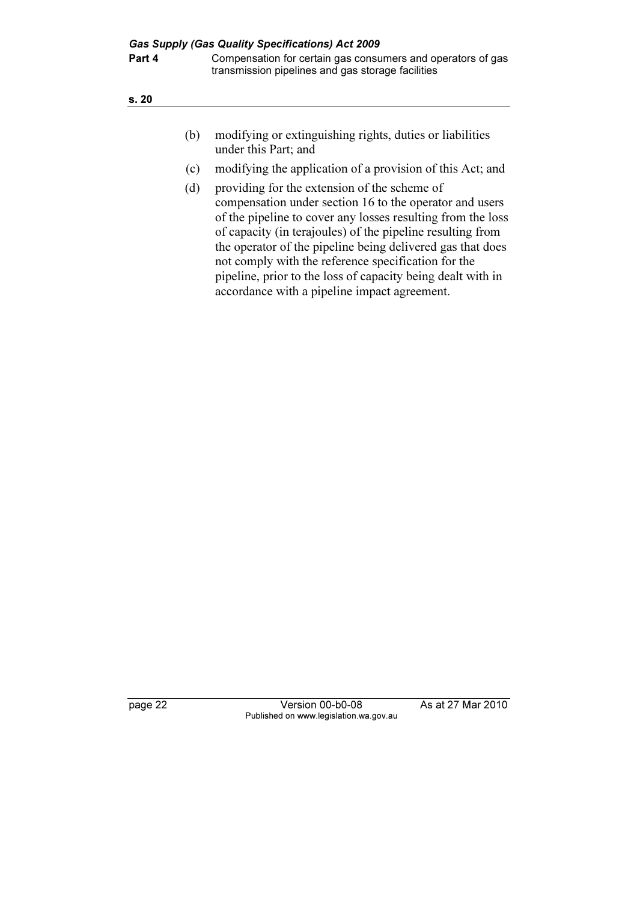- (b) modifying or extinguishing rights, duties or liabilities under this Part; and
- (c) modifying the application of a provision of this Act; and
- (d) providing for the extension of the scheme of compensation under section 16 to the operator and users of the pipeline to cover any losses resulting from the loss of capacity (in terajoules) of the pipeline resulting from the operator of the pipeline being delivered gas that does not comply with the reference specification for the pipeline, prior to the loss of capacity being dealt with in accordance with a pipeline impact agreement.

page 22 Version 00-b0-08 As at 27 Mar 2010 Published on www.legislation.wa.gov.au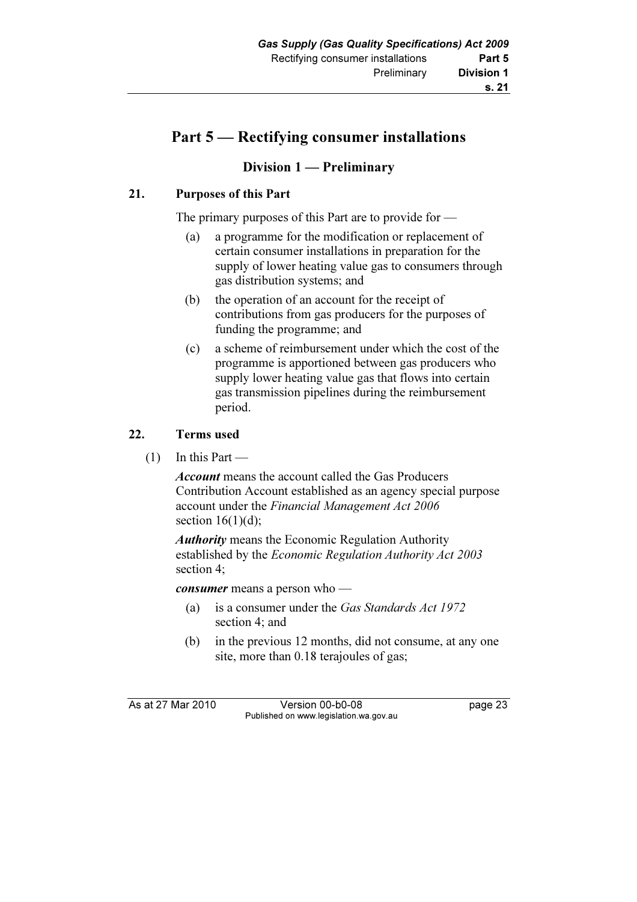# Part 5 — Rectifying consumer installations

# Division 1 — Preliminary

# 21. Purposes of this Part

The primary purposes of this Part are to provide for —

- (a) a programme for the modification or replacement of certain consumer installations in preparation for the supply of lower heating value gas to consumers through gas distribution systems; and
- (b) the operation of an account for the receipt of contributions from gas producers for the purposes of funding the programme; and
- (c) a scheme of reimbursement under which the cost of the programme is apportioned between gas producers who supply lower heating value gas that flows into certain gas transmission pipelines during the reimbursement period.

# 22. Terms used

 $(1)$  In this Part —

Account means the account called the Gas Producers Contribution Account established as an agency special purpose account under the Financial Management Act 2006 section  $16(1)(d)$ ;

Authority means the Economic Regulation Authority established by the Economic Regulation Authority Act 2003 section 4;

consumer means a person who —

- (a) is a consumer under the Gas Standards Act 1972 section 4; and
- (b) in the previous 12 months, did not consume, at any one site, more than 0.18 terajoules of gas;

As at 27 Mar 2010 Version 00-b0-08 page 23 Published on www.legislation.wa.gov.au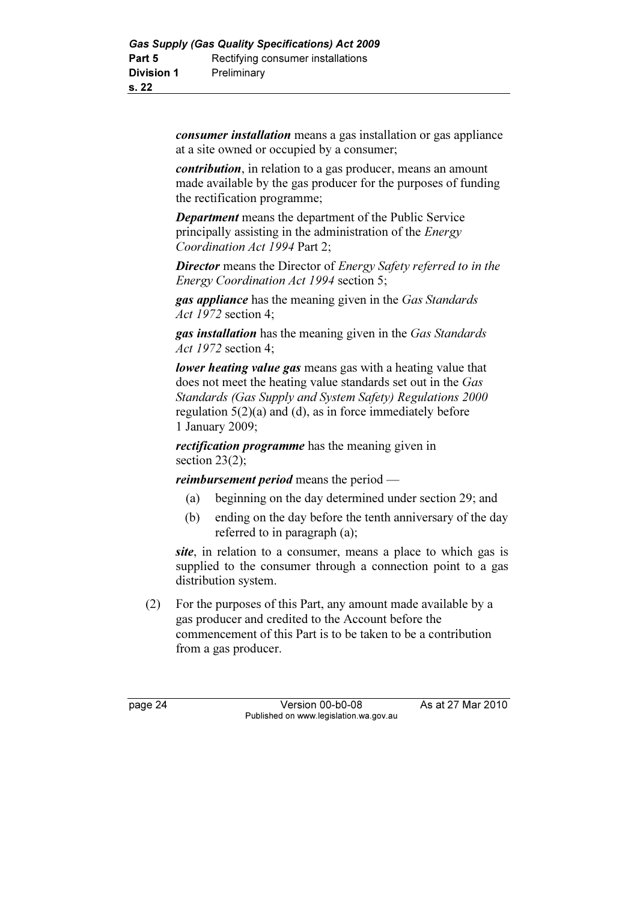consumer installation means a gas installation or gas appliance at a site owned or occupied by a consumer;

contribution, in relation to a gas producer, means an amount made available by the gas producer for the purposes of funding the rectification programme;

Department means the department of the Public Service principally assisting in the administration of the Energy Coordination Act 1994 Part 2;

**Director** means the Director of *Energy Safety referred to in the* Energy Coordination Act 1994 section 5;

**gas appliance** has the meaning given in the Gas Standards Act 1972 section 4;

gas installation has the meaning given in the Gas Standards Act 1972 section 4;

lower heating value gas means gas with a heating value that does not meet the heating value standards set out in the Gas Standards (Gas Supply and System Safety) Regulations 2000 regulation 5(2)(a) and (d), as in force immediately before 1 January 2009;

rectification programme has the meaning given in section 23(2):

reimbursement period means the period —

- (a) beginning on the day determined under section 29; and
- (b) ending on the day before the tenth anniversary of the day referred to in paragraph (a);

site, in relation to a consumer, means a place to which gas is supplied to the consumer through a connection point to a gas distribution system.

 (2) For the purposes of this Part, any amount made available by a gas producer and credited to the Account before the commencement of this Part is to be taken to be a contribution from a gas producer.

page 24 Version 00-b0-08 As at 27 Mar 2010 Published on www.legislation.wa.gov.au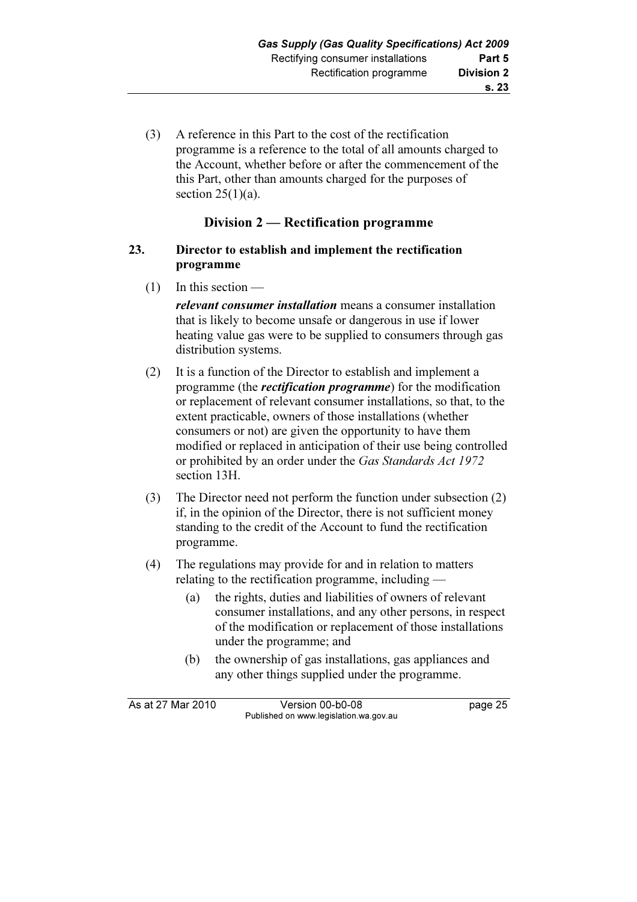(3) A reference in this Part to the cost of the rectification programme is a reference to the total of all amounts charged to the Account, whether before or after the commencement of the this Part, other than amounts charged for the purposes of section  $25(1)(a)$ .

## Division 2 — Rectification programme

### 23. Director to establish and implement the rectification programme

(1) In this section —

relevant consumer installation means a consumer installation that is likely to become unsafe or dangerous in use if lower heating value gas were to be supplied to consumers through gas distribution systems.

- (2) It is a function of the Director to establish and implement a programme (the rectification programme) for the modification or replacement of relevant consumer installations, so that, to the extent practicable, owners of those installations (whether consumers or not) are given the opportunity to have them modified or replaced in anticipation of their use being controlled or prohibited by an order under the Gas Standards Act 1972 section 13H.
- (3) The Director need not perform the function under subsection (2) if, in the opinion of the Director, there is not sufficient money standing to the credit of the Account to fund the rectification programme.
- (4) The regulations may provide for and in relation to matters relating to the rectification programme, including —
	- (a) the rights, duties and liabilities of owners of relevant consumer installations, and any other persons, in respect of the modification or replacement of those installations under the programme; and
	- (b) the ownership of gas installations, gas appliances and any other things supplied under the programme.

| As at 27 Mar 2010 | Version 00-b0-08                       | page 25 |
|-------------------|----------------------------------------|---------|
|                   | Published on www.legislation.wa.gov.au |         |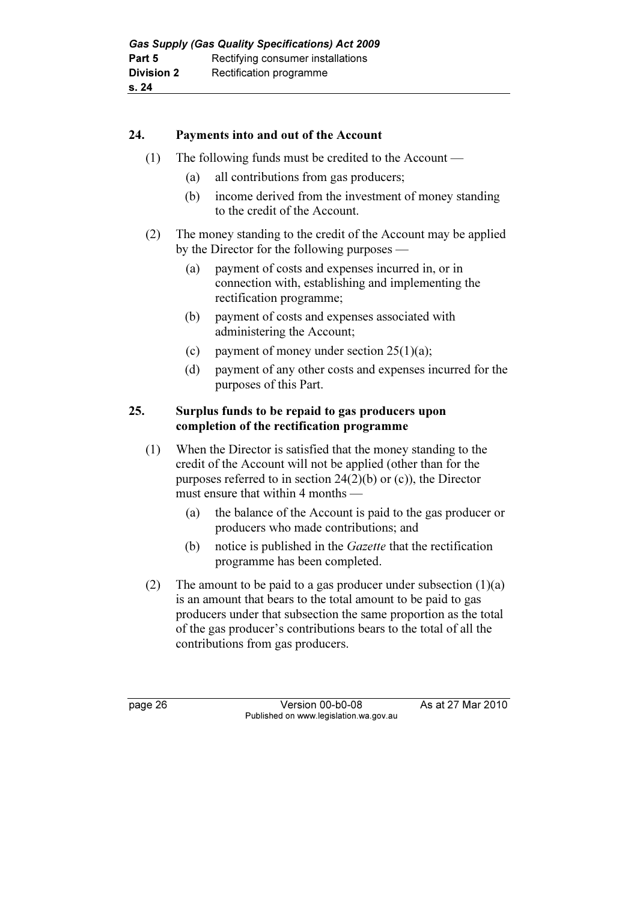## 24. Payments into and out of the Account

- (1) The following funds must be credited to the Account
	- (a) all contributions from gas producers;
	- (b) income derived from the investment of money standing to the credit of the Account.
- (2) The money standing to the credit of the Account may be applied by the Director for the following purposes —
	- (a) payment of costs and expenses incurred in, or in connection with, establishing and implementing the rectification programme;
	- (b) payment of costs and expenses associated with administering the Account;
	- (c) payment of money under section  $25(1)(a)$ ;
	- (d) payment of any other costs and expenses incurred for the purposes of this Part.

## 25. Surplus funds to be repaid to gas producers upon completion of the rectification programme

- (1) When the Director is satisfied that the money standing to the credit of the Account will not be applied (other than for the purposes referred to in section 24(2)(b) or (c)), the Director must ensure that within 4 months —
	- (a) the balance of the Account is paid to the gas producer or producers who made contributions; and
	- (b) notice is published in the Gazette that the rectification programme has been completed.
- (2) The amount to be paid to a gas producer under subsection  $(1)(a)$ is an amount that bears to the total amount to be paid to gas producers under that subsection the same proportion as the total of the gas producer's contributions bears to the total of all the contributions from gas producers.

page 26 Version 00-b0-08 As at 27 Mar 2010 Published on www.legislation.wa.gov.au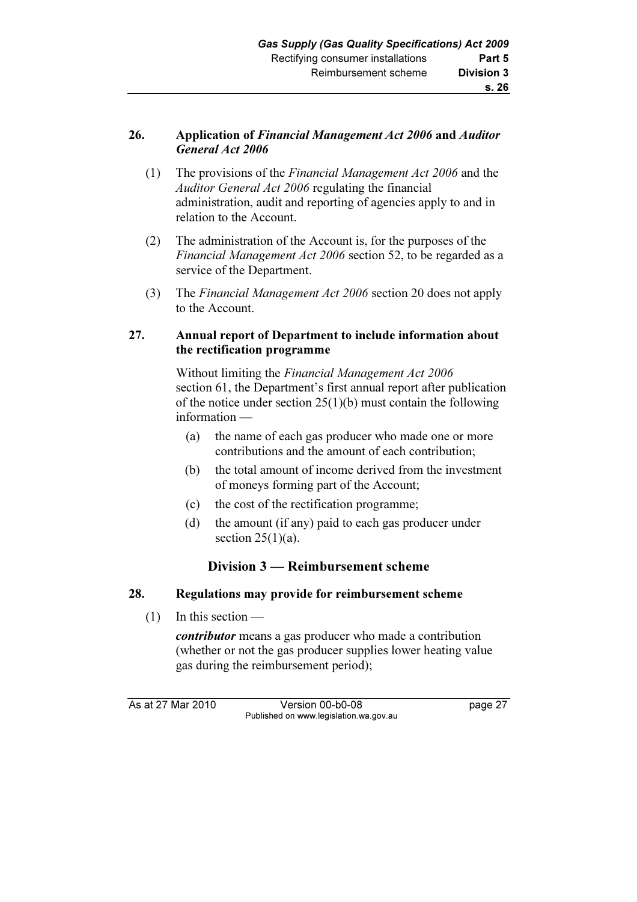# 26. Application of Financial Management Act 2006 and Auditor General Act 2006

- (1) The provisions of the Financial Management Act 2006 and the Auditor General Act 2006 regulating the financial administration, audit and reporting of agencies apply to and in relation to the Account.
- (2) The administration of the Account is, for the purposes of the Financial Management Act 2006 section 52, to be regarded as a service of the Department.
- (3) The Financial Management Act 2006 section 20 does not apply to the Account.

# 27. Annual report of Department to include information about the rectification programme

 Without limiting the Financial Management Act 2006 section 61, the Department's first annual report after publication of the notice under section 25(1)(b) must contain the following information —

- (a) the name of each gas producer who made one or more contributions and the amount of each contribution;
- (b) the total amount of income derived from the investment of moneys forming part of the Account;
- (c) the cost of the rectification programme;
- (d) the amount (if any) paid to each gas producer under section  $25(1)(a)$ .

# Division 3 — Reimbursement scheme

# 28. Regulations may provide for reimbursement scheme

(1) In this section —

contributor means a gas producer who made a contribution (whether or not the gas producer supplies lower heating value gas during the reimbursement period);

As at 27 Mar 2010 Version 00-b0-08 page 27 Published on www.legislation.wa.gov.au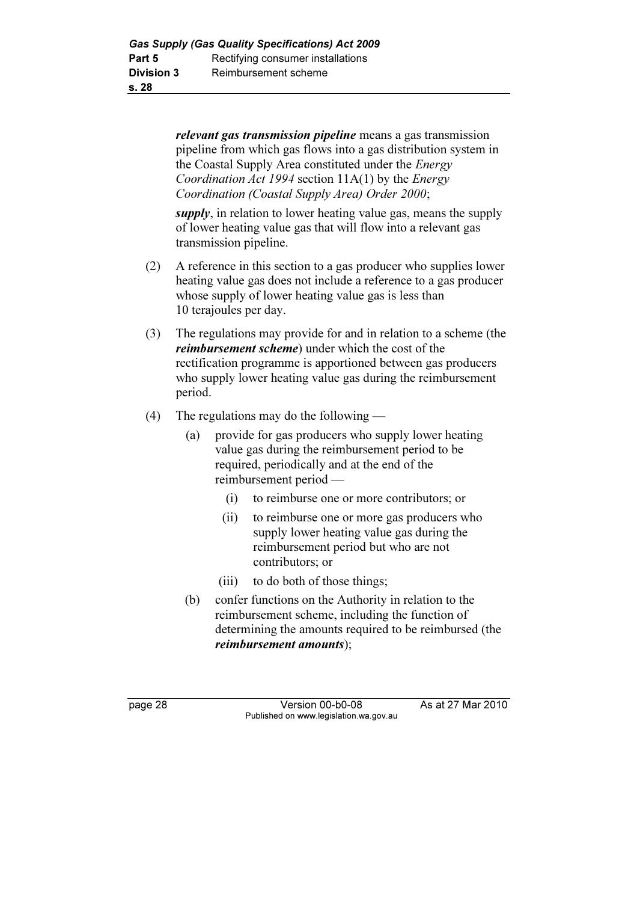relevant gas transmission pipeline means a gas transmission pipeline from which gas flows into a gas distribution system in the Coastal Supply Area constituted under the Energy Coordination Act 1994 section 11A(1) by the Energy Coordination (Coastal Supply Area) Order 2000;

supply, in relation to lower heating value gas, means the supply of lower heating value gas that will flow into a relevant gas transmission pipeline.

- (2) A reference in this section to a gas producer who supplies lower heating value gas does not include a reference to a gas producer whose supply of lower heating value gas is less than 10 terajoules per day.
- (3) The regulations may provide for and in relation to a scheme (the reimbursement scheme) under which the cost of the rectification programme is apportioned between gas producers who supply lower heating value gas during the reimbursement period.
- (4) The regulations may do the following
	- (a) provide for gas producers who supply lower heating value gas during the reimbursement period to be required, periodically and at the end of the reimbursement period —
		- (i) to reimburse one or more contributors; or
		- (ii) to reimburse one or more gas producers who supply lower heating value gas during the reimbursement period but who are not contributors; or
		- (iii) to do both of those things;
	- (b) confer functions on the Authority in relation to the reimbursement scheme, including the function of determining the amounts required to be reimbursed (the reimbursement amounts);

page 28 Version 00-b0-08 As at 27 Mar 2010 Published on www.legislation.wa.gov.au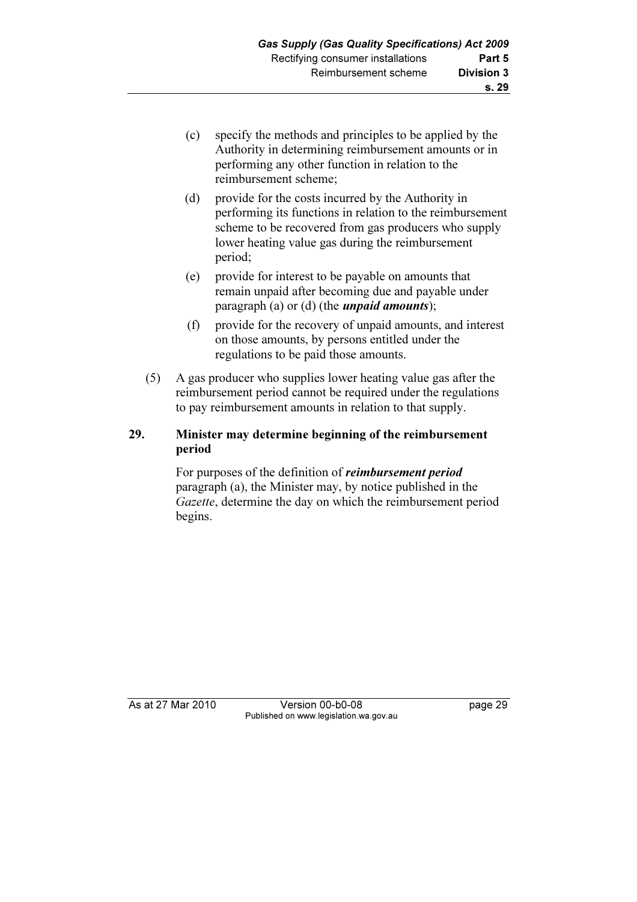- (c) specify the methods and principles to be applied by the Authority in determining reimbursement amounts or in performing any other function in relation to the reimbursement scheme;
- (d) provide for the costs incurred by the Authority in performing its functions in relation to the reimbursement scheme to be recovered from gas producers who supply lower heating value gas during the reimbursement period;
- (e) provide for interest to be payable on amounts that remain unpaid after becoming due and payable under paragraph (a) or (d) (the *unpaid amounts*);
- (f) provide for the recovery of unpaid amounts, and interest on those amounts, by persons entitled under the regulations to be paid those amounts.
- (5) A gas producer who supplies lower heating value gas after the reimbursement period cannot be required under the regulations to pay reimbursement amounts in relation to that supply.

# 29. Minister may determine beginning of the reimbursement period

For purposes of the definition of *reimbursement period* paragraph (a), the Minister may, by notice published in the Gazette, determine the day on which the reimbursement period begins.

As at 27 Mar 2010 Version 00-b0-08 page 29 Published on www.legislation.wa.gov.au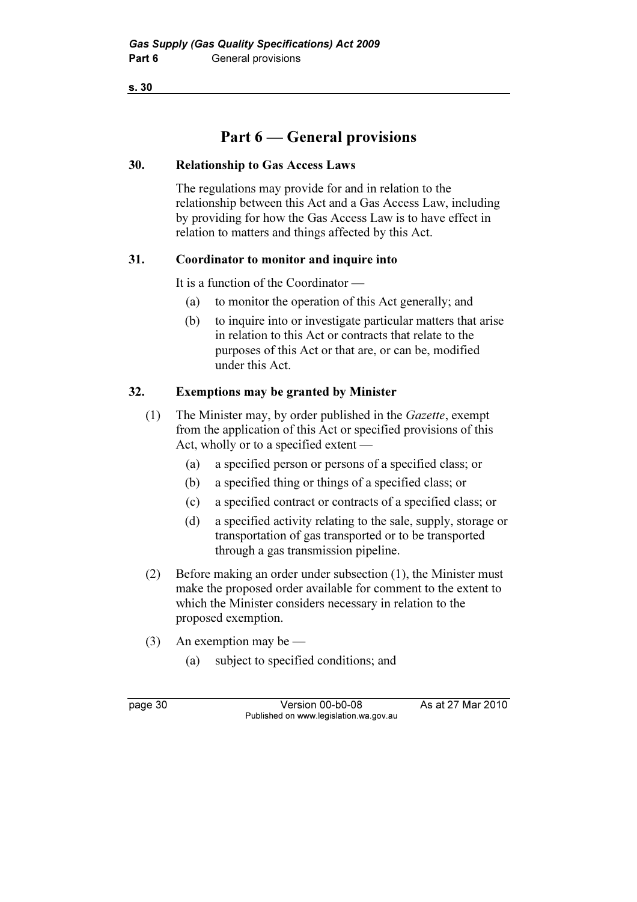# Part 6 — General provisions

## 30. Relationship to Gas Access Laws

 The regulations may provide for and in relation to the relationship between this Act and a Gas Access Law, including by providing for how the Gas Access Law is to have effect in relation to matters and things affected by this Act.

## 31. Coordinator to monitor and inquire into

It is a function of the Coordinator —

- (a) to monitor the operation of this Act generally; and
- (b) to inquire into or investigate particular matters that arise in relation to this Act or contracts that relate to the purposes of this Act or that are, or can be, modified under this Act.

# 32. Exemptions may be granted by Minister

- (1) The Minister may, by order published in the Gazette, exempt from the application of this Act or specified provisions of this Act, wholly or to a specified extent —
	- (a) a specified person or persons of a specified class; or
	- (b) a specified thing or things of a specified class; or
	- (c) a specified contract or contracts of a specified class; or
	- (d) a specified activity relating to the sale, supply, storage or transportation of gas transported or to be transported through a gas transmission pipeline.
- (2) Before making an order under subsection (1), the Minister must make the proposed order available for comment to the extent to which the Minister considers necessary in relation to the proposed exemption.
- (3) An exemption may be
	- (a) subject to specified conditions; and

page 30 Version 00-b0-08 As at 27 Mar 2010 Published on www.legislation.wa.gov.au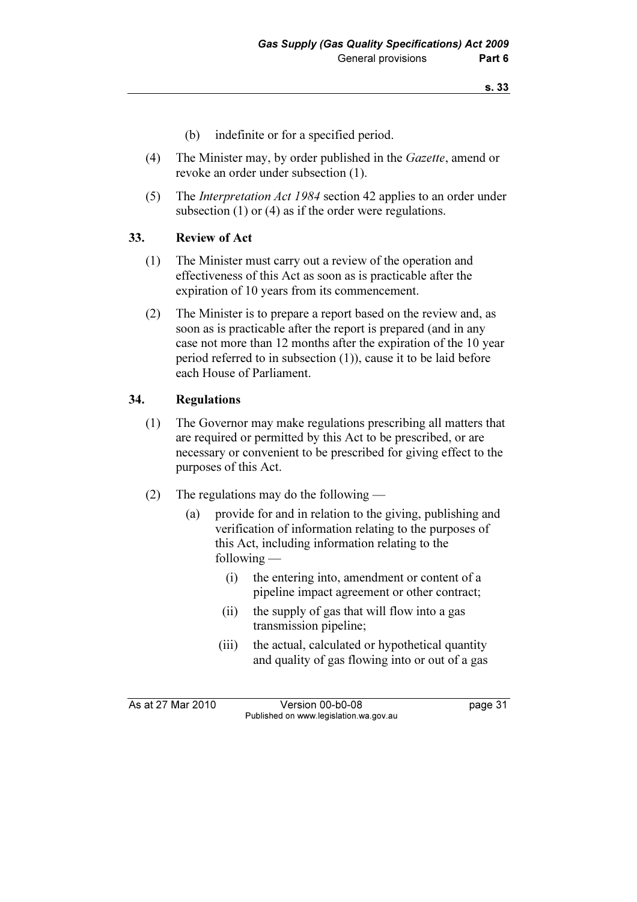- (b) indefinite or for a specified period.
- (4) The Minister may, by order published in the Gazette, amend or revoke an order under subsection (1).
- (5) The Interpretation Act 1984 section 42 applies to an order under subsection (1) or (4) as if the order were regulations.

### 33. Review of Act

- (1) The Minister must carry out a review of the operation and effectiveness of this Act as soon as is practicable after the expiration of 10 years from its commencement.
- (2) The Minister is to prepare a report based on the review and, as soon as is practicable after the report is prepared (and in any case not more than 12 months after the expiration of the 10 year period referred to in subsection (1)), cause it to be laid before each House of Parliament.

## 34. Regulations

- (1) The Governor may make regulations prescribing all matters that are required or permitted by this Act to be prescribed, or are necessary or convenient to be prescribed for giving effect to the purposes of this Act.
- (2) The regulations may do the following
	- (a) provide for and in relation to the giving, publishing and verification of information relating to the purposes of this Act, including information relating to the following —
		- (i) the entering into, amendment or content of a pipeline impact agreement or other contract;
		- (ii) the supply of gas that will flow into a gas transmission pipeline;
		- (iii) the actual, calculated or hypothetical quantity and quality of gas flowing into or out of a gas

As at 27 Mar 2010 Version 00-b0-08 page 31 Published on www.legislation.wa.gov.au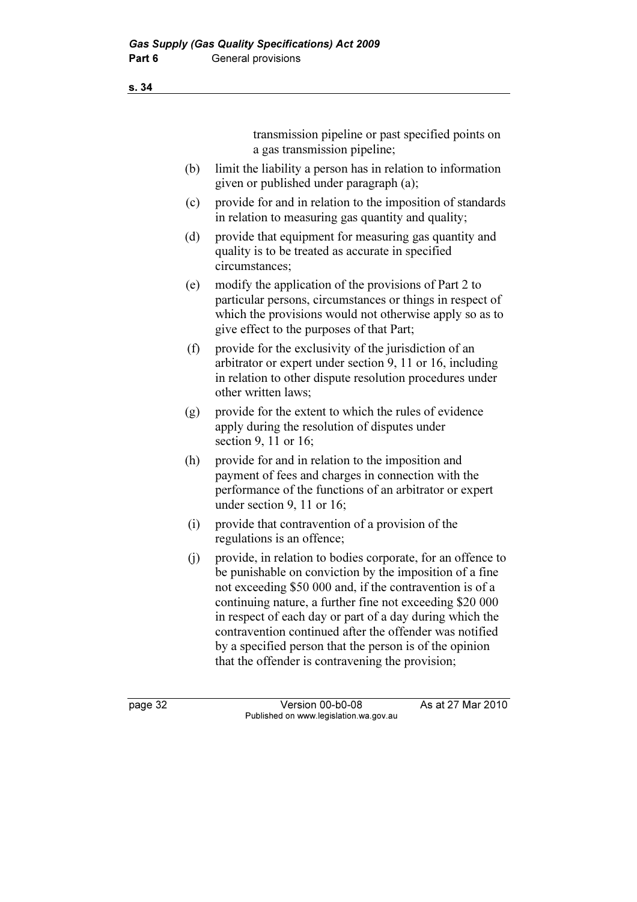transmission pipeline or past specified points on a gas transmission pipeline;

- (b) limit the liability a person has in relation to information given or published under paragraph (a);
- (c) provide for and in relation to the imposition of standards in relation to measuring gas quantity and quality;
- (d) provide that equipment for measuring gas quantity and quality is to be treated as accurate in specified circumstances;
- (e) modify the application of the provisions of Part 2 to particular persons, circumstances or things in respect of which the provisions would not otherwise apply so as to give effect to the purposes of that Part;
- (f) provide for the exclusivity of the jurisdiction of an arbitrator or expert under section 9, 11 or 16, including in relation to other dispute resolution procedures under other written laws;
- (g) provide for the extent to which the rules of evidence apply during the resolution of disputes under section 9, 11 or 16;
- (h) provide for and in relation to the imposition and payment of fees and charges in connection with the performance of the functions of an arbitrator or expert under section 9, 11 or 16;
- (i) provide that contravention of a provision of the regulations is an offence;
- (j) provide, in relation to bodies corporate, for an offence to be punishable on conviction by the imposition of a fine not exceeding \$50 000 and, if the contravention is of a continuing nature, a further fine not exceeding \$20 000 in respect of each day or part of a day during which the contravention continued after the offender was notified by a specified person that the person is of the opinion that the offender is contravening the provision;

s. 34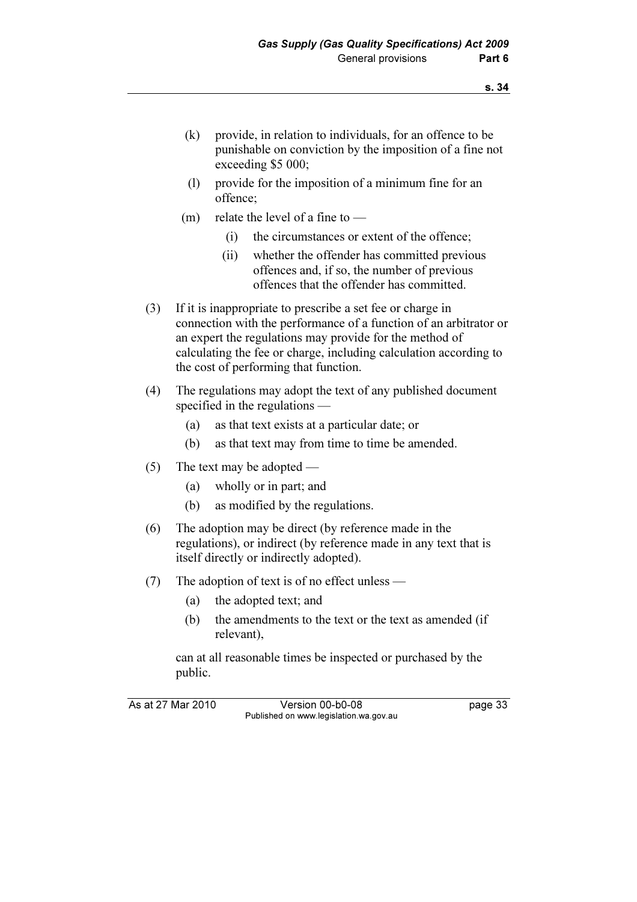- (k) provide, in relation to individuals, for an offence to be punishable on conviction by the imposition of a fine not exceeding \$5 000;
- (l) provide for the imposition of a minimum fine for an offence;
- (m) relate the level of a fine to  $-$ 
	- (i) the circumstances or extent of the offence;
	- (ii) whether the offender has committed previous offences and, if so, the number of previous offences that the offender has committed.
- (3) If it is inappropriate to prescribe a set fee or charge in connection with the performance of a function of an arbitrator or an expert the regulations may provide for the method of calculating the fee or charge, including calculation according to the cost of performing that function.
- (4) The regulations may adopt the text of any published document specified in the regulations —
	- (a) as that text exists at a particular date; or
	- (b) as that text may from time to time be amended.
- (5) The text may be adopted
	- (a) wholly or in part; and
	- (b) as modified by the regulations.
- (6) The adoption may be direct (by reference made in the regulations), or indirect (by reference made in any text that is itself directly or indirectly adopted).
- (7) The adoption of text is of no effect unless
	- (a) the adopted text; and
	- (b) the amendments to the text or the text as amended (if relevant),

 can at all reasonable times be inspected or purchased by the public.

As at 27 Mar 2010 Version 00-b0-08 page 33 Published on www.legislation.wa.gov.au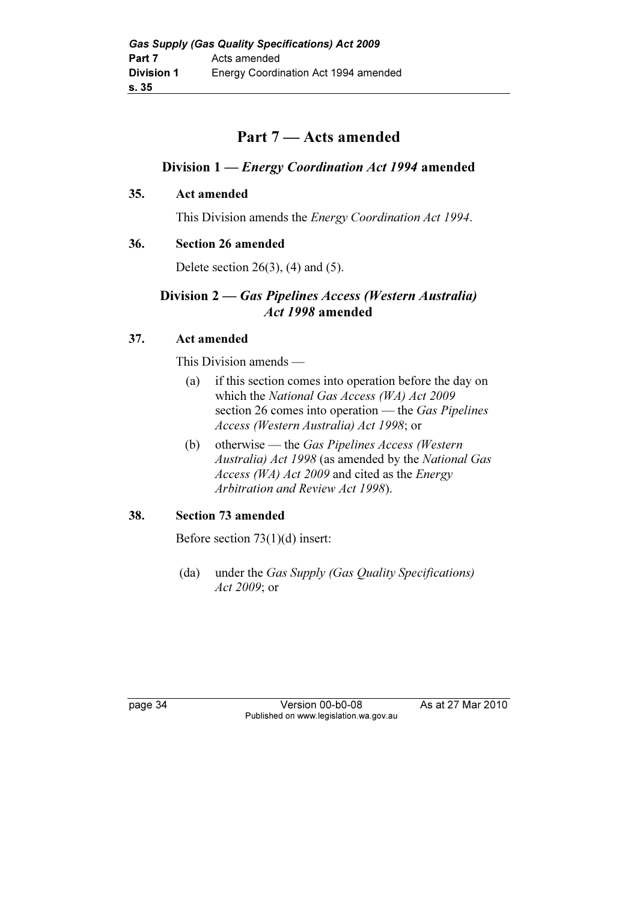# Part 7 — Acts amended

# Division 1 — Energy Coordination Act 1994 amended

# 35. Act amended

This Division amends the Energy Coordination Act 1994.

# 36. Section 26 amended

Delete section  $26(3)$ ,  $(4)$  and  $(5)$ .

# Division 2 — Gas Pipelines Access (Western Australia) Act 1998 amended

# 37. Act amended

This Division amends —

- (a) if this section comes into operation before the day on which the National Gas Access (WA) Act 2009 section 26 comes into operation — the Gas Pipelines Access (Western Australia) Act 1998; or
- (b) otherwise the Gas Pipelines Access (Western Australia) Act 1998 (as amended by the National Gas Access (WA) Act 2009 and cited as the Energy Arbitration and Review Act 1998).

# 38. Section 73 amended

Before section 73(1)(d) insert:

 (da) under the Gas Supply (Gas Quality Specifications) Act 2009; or

page 34 Version 00-b0-08 As at 27 Mar 2010 Published on www.legislation.wa.gov.au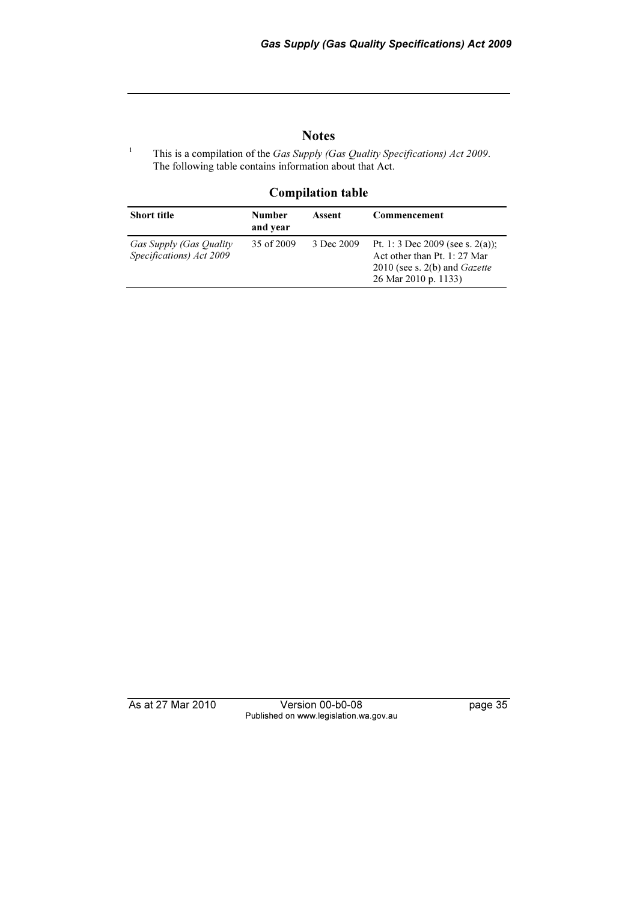## **Notes**

This is a compilation of the Gas Supply (Gas Quality Specifications) Act 2009. The following table contains information about that Act.

#### Compilation table

| <b>Short title</b>                                  | <b>Number</b><br>and year | Assent     | Commencement                                                                                                                       |
|-----------------------------------------------------|---------------------------|------------|------------------------------------------------------------------------------------------------------------------------------------|
| Gas Supply (Gas Quality<br>Specifications) Act 2009 | 35 of 2009                | 3 Dec 2009 | Pt. 1: 3 Dec 2009 (see s. 2(a));<br>Act other than Pt. 1: 27 Mar<br>2010 (see s. $2(b)$ and <i>Gazette</i><br>26 Mar 2010 p. 1133) |

1

As at 27 Mar 2010 Version 00-b0-08 page 35 Published on www.legislation.wa.gov.au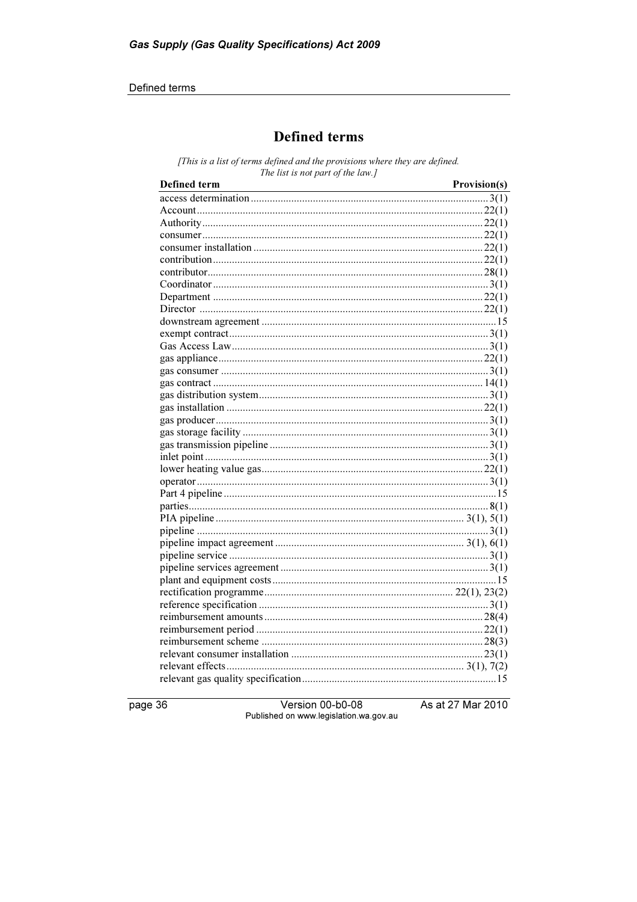#### Defined terms

# **Defined terms**

[This is a list of terms defined and the provisions where they are defined. The list is not part of the law.]

| Defined term | Provision(s) |
|--------------|--------------|
|              |              |
|              |              |
|              |              |
|              |              |
|              |              |
|              |              |
|              |              |
|              |              |
|              |              |
|              |              |
|              |              |
|              |              |
|              |              |
|              |              |
|              |              |
|              |              |
|              |              |
|              |              |
|              |              |
|              |              |
|              |              |
|              |              |
|              |              |
|              |              |
|              |              |
|              |              |
|              |              |
|              |              |
|              |              |
|              |              |
|              |              |
|              |              |
|              |              |
|              |              |
|              |              |
|              |              |
|              |              |
|              |              |
|              |              |
|              |              |

page 36

Version 00-b0-08 Published on www.legislation.wa.gov.au As at 27 Mar 2010